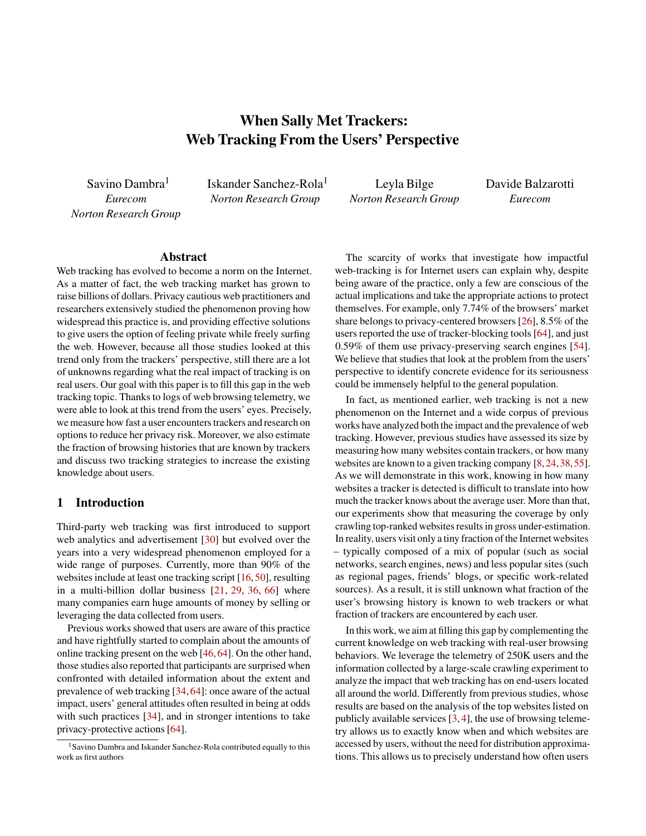# When Sally Met Trackers: Web Tracking From the Users' Perspective

Savino Dambra<sup>1</sup> *Eurecom Norton Research Group* Iskander Sanchez-Rola<sup>1</sup> *Norton Research Group*

Leyla Bilge *Norton Research Group* Davide Balzarotti *Eurecom*

### Abstract

Web tracking has evolved to become a norm on the Internet. As a matter of fact, the web tracking market has grown to raise billions of dollars. Privacy cautious web practitioners and researchers extensively studied the phenomenon proving how widespread this practice is, and providing effective solutions to give users the option of feeling private while freely surfing the web. However, because all those studies looked at this trend only from the trackers' perspective, still there are a lot of unknowns regarding what the real impact of tracking is on real users. Our goal with this paper is to fill this gap in the web tracking topic. Thanks to logs of web browsing telemetry, we were able to look at this trend from the users' eyes. Precisely, we measure how fast a user encounters trackers and research on options to reduce her privacy risk. Moreover, we also estimate the fraction of browsing histories that are known by trackers and discuss two tracking strategies to increase the existing knowledge about users.

### 1 Introduction

Third-party web tracking was first introduced to support web analytics and advertisement [\[30\]](#page-15-0) but evolved over the years into a very widespread phenomenon employed for a wide range of purposes. Currently, more than 90% of the websites include at least one tracking script [\[16,](#page-14-0) [50\]](#page-16-0), resulting in a multi-billion dollar business [\[21,](#page-14-1) [29,](#page-15-1) [36,](#page-15-2) [66\]](#page-16-1) where many companies earn huge amounts of money by selling or leveraging the data collected from users.

Previous works showed that users are aware of this practice and have rightfully started to complain about the amounts of online tracking present on the web [\[46,](#page-15-3) [64\]](#page-16-2). On the other hand, those studies also reported that participants are surprised when confronted with detailed information about the extent and prevalence of web tracking [\[34,](#page-15-4) [64\]](#page-16-2): once aware of the actual impact, users' general attitudes often resulted in being at odds with such practices [\[34\]](#page-15-4), and in stronger intentions to take privacy-protective actions [\[64\]](#page-16-2).

The scarcity of works that investigate how impactful web-tracking is for Internet users can explain why, despite being aware of the practice, only a few are conscious of the actual implications and take the appropriate actions to protect themselves. For example, only 7.74% of the browsers' market share belongs to privacy-centered browsers [\[26\]](#page-15-5), 8.5% of the users reported the use of tracker-blocking tools [\[64\]](#page-16-2), and just 0.59% of them use privacy-preserving search engines [\[54\]](#page-16-3). We believe that studies that look at the problem from the users' perspective to identify concrete evidence for its seriousness could be immensely helpful to the general population.

In fact, as mentioned earlier, web tracking is not a new phenomenon on the Internet and a wide corpus of previous works have analyzed both the impact and the prevalence of web tracking. However, previous studies have assessed its size by measuring how many websites contain trackers, or how many websites are known to a given tracking company [\[8,](#page-14-2) [24,](#page-14-3) [38,](#page-15-6) [55\]](#page-16-4). As we will demonstrate in this work, knowing in how many websites a tracker is detected is difficult to translate into how much the tracker knows about the average user. More than that, our experiments show that measuring the coverage by only crawling top-ranked websites results in gross under-estimation. In reality, users visit only a tiny fraction of the Internet websites – typically composed of a mix of popular (such as social networks, search engines, news) and less popular sites (such as regional pages, friends' blogs, or specific work-related sources). As a result, it is still unknown what fraction of the user's browsing history is known to web trackers or what fraction of trackers are encountered by each user.

In this work, we aim at filling this gap by complementing the current knowledge on web tracking with real-user browsing behaviors. We leverage the telemetry of 250K users and the information collected by a large-scale crawling experiment to analyze the impact that web tracking has on end-users located all around the world. Differently from previous studies, whose results are based on the analysis of the top websites listed on publicly available services [\[3,](#page-14-4) [4\]](#page-14-5), the use of browsing telemetry allows us to exactly know when and which websites are accessed by users, without the need for distribution approximations. This allows us to precisely understand how often users

<sup>&</sup>lt;sup>1</sup>Savino Dambra and Iskander Sanchez-Rola contributed equally to this work as first authors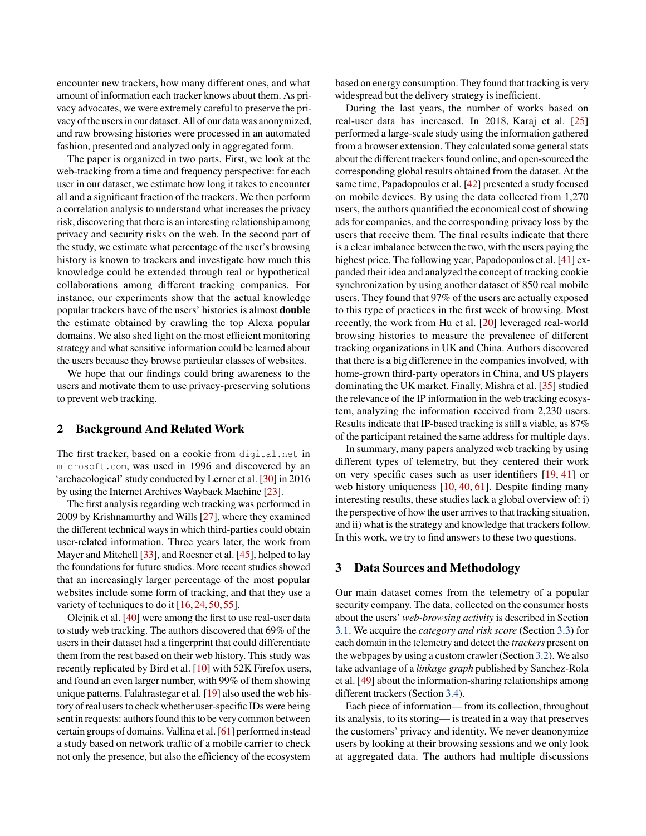encounter new trackers, how many different ones, and what amount of information each tracker knows about them. As privacy advocates, we were extremely careful to preserve the privacy of the users in our dataset. All of our data was anonymized, and raw browsing histories were processed in an automated fashion, presented and analyzed only in aggregated form.

The paper is organized in two parts. First, we look at the web-tracking from a time and frequency perspective: for each user in our dataset, we estimate how long it takes to encounter all and a significant fraction of the trackers. We then perform a correlation analysis to understand what increases the privacy risk, discovering that there is an interesting relationship among privacy and security risks on the web. In the second part of the study, we estimate what percentage of the user's browsing history is known to trackers and investigate how much this knowledge could be extended through real or hypothetical collaborations among different tracking companies. For instance, our experiments show that the actual knowledge popular trackers have of the users' histories is almost double the estimate obtained by crawling the top Alexa popular domains. We also shed light on the most efficient monitoring strategy and what sensitive information could be learned about the users because they browse particular classes of websites.

We hope that our findings could bring awareness to the users and motivate them to use privacy-preserving solutions to prevent web tracking.

### 2 Background And Related Work

The first tracker, based on a cookie from digital.net in microsoft.com, was used in 1996 and discovered by an 'archaeological' study conducted by Lerner et al. [\[30\]](#page-15-0) in 2016 by using the Internet Archives Wayback Machine [\[23\]](#page-14-6).

The first analysis regarding web tracking was performed in 2009 by Krishnamurthy and Wills [\[27\]](#page-15-7), where they examined the different technical ways in which third-parties could obtain user-related information. Three years later, the work from Mayer and Mitchell [\[33\]](#page-15-8), and Roesner et al. [\[45\]](#page-15-9), helped to lay the foundations for future studies. More recent studies showed that an increasingly larger percentage of the most popular websites include some form of tracking, and that they use a variety of techniques to do it [\[16,](#page-14-0) [24,](#page-14-3) [50,](#page-16-0) [55\]](#page-16-4).

Olejnik et al. [\[40\]](#page-15-10) were among the first to use real-user data to study web tracking. The authors discovered that 69% of the users in their dataset had a fingerprint that could differentiate them from the rest based on their web history. This study was recently replicated by Bird et al. [\[10\]](#page-14-7) with 52K Firefox users, and found an even larger number, with 99% of them showing unique patterns. Falahrastegar et al. [\[19\]](#page-14-8) also used the web history of real users to check whether user-specific IDs were being sent in requests: authors found this to be very common between certain groups of domains. Vallina et al. [\[61\]](#page-16-5) performed instead a study based on network traffic of a mobile carrier to check not only the presence, but also the efficiency of the ecosystem

based on energy consumption. They found that tracking is very widespread but the delivery strategy is inefficient.

During the last years, the number of works based on real-user data has increased. In 2018, Karaj et al. [\[25\]](#page-14-9) performed a large-scale study using the information gathered from a browser extension. They calculated some general stats about the different trackers found online, and open-sourced the corresponding global results obtained from the dataset. At the same time, Papadopoulos et al. [\[42\]](#page-15-11) presented a study focused on mobile devices. By using the data collected from 1,270 users, the authors quantified the economical cost of showing ads for companies, and the corresponding privacy loss by the users that receive them. The final results indicate that there is a clear imbalance between the two, with the users paying the highest price. The following year, Papadopoulos et al. [\[41\]](#page-15-12) expanded their idea and analyzed the concept of tracking cookie synchronization by using another dataset of 850 real mobile users. They found that 97% of the users are actually exposed to this type of practices in the first week of browsing. Most recently, the work from Hu et al. [\[20\]](#page-14-10) leveraged real-world browsing histories to measure the prevalence of different tracking organizations in UK and China. Authors discovered that there is a big difference in the companies involved, with home-grown third-party operators in China, and US players dominating the UK market. Finally, Mishra et al. [\[35\]](#page-15-13) studied the relevance of the IP information in the web tracking ecosystem, analyzing the information received from 2,230 users. Results indicate that IP-based tracking is still a viable, as 87% of the participant retained the same address for multiple days.

In summary, many papers analyzed web tracking by using different types of telemetry, but they centered their work on very specific cases such as user identifiers [\[19,](#page-14-8) [41\]](#page-15-12) or web history uniqueness [\[10,](#page-14-7) [40,](#page-15-10) [61\]](#page-16-5). Despite finding many interesting results, these studies lack a global overview of: i) the perspective of how the user arrives to that tracking situation, and ii) what is the strategy and knowledge that trackers follow. In this work, we try to find answers to these two questions.

#### 3 Data Sources and Methodology

Our main dataset comes from the telemetry of a popular security company. The data, collected on the consumer hosts about the users' *web-browsing activity* is described in Section [3.1.](#page-2-0) We acquire the *category and risk score* (Section [3.3\)](#page-2-1) for each domain in the telemetry and detect the *trackers* present on the webpages by using a custom crawler (Section [3.2\)](#page-2-2). We also take advantage of a *linkage graph* published by Sanchez-Rola et al. [\[49\]](#page-15-14) about the information-sharing relationships among different trackers (Section [3.4\)](#page-2-3).

Each piece of information— from its collection, throughout its analysis, to its storing— is treated in a way that preserves the customers' privacy and identity. We never deanonymize users by looking at their browsing sessions and we only look at aggregated data. The authors had multiple discussions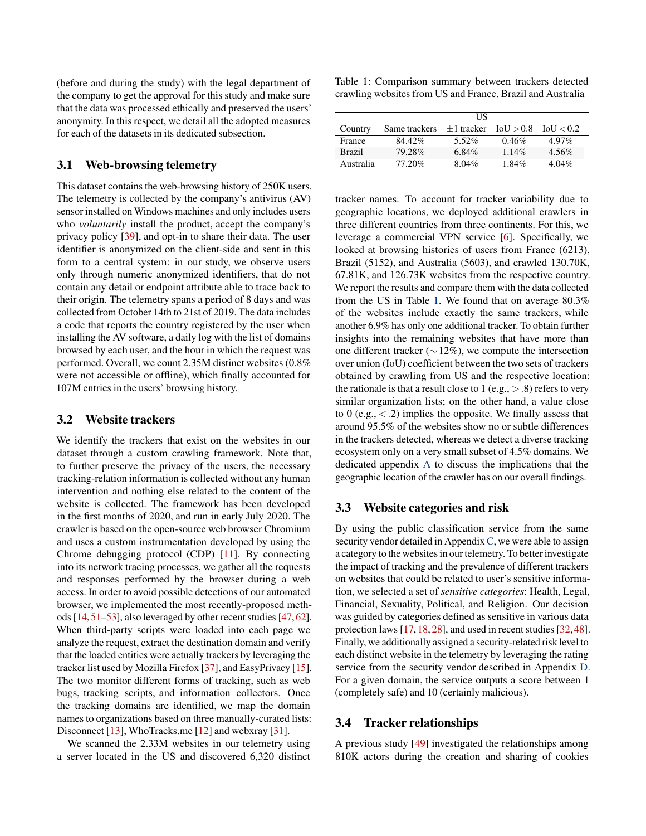(before and during the study) with the legal department of the company to get the approval for this study and make sure that the data was processed ethically and preserved the users' anonymity. In this respect, we detail all the adopted measures for each of the datasets in its dedicated subsection.

### <span id="page-2-0"></span>3.1 Web-browsing telemetry

This dataset contains the web-browsing history of 250K users. The telemetry is collected by the company's antivirus (AV) sensor installed on Windows machines and only includes users who *voluntarily* install the product, accept the company's privacy policy [\[39\]](#page-15-15), and opt-in to share their data. The user identifier is anonymized on the client-side and sent in this form to a central system: in our study, we observe users only through numeric anonymized identifiers, that do not contain any detail or endpoint attribute able to trace back to their origin. The telemetry spans a period of 8 days and was collected from October 14th to 21st of 2019. The data includes a code that reports the country registered by the user when installing the AV software, a daily log with the list of domains browsed by each user, and the hour in which the request was performed. Overall, we count 2.35M distinct websites (0.8% were not accessible or offline), which finally accounted for 107M entries in the users' browsing history.

## <span id="page-2-2"></span>3.2 Website trackers

We identify the trackers that exist on the websites in our dataset through a custom crawling framework. Note that, to further preserve the privacy of the users, the necessary tracking-relation information is collected without any human intervention and nothing else related to the content of the website is collected. The framework has been developed in the first months of 2020, and run in early July 2020. The crawler is based on the open-source web browser Chromium and uses a custom instrumentation developed by using the Chrome debugging protocol (CDP) [\[11\]](#page-14-11). By connecting into its network tracing processes, we gather all the requests and responses performed by the browser during a web access. In order to avoid possible detections of our automated browser, we implemented the most recently-proposed methods [\[14,](#page-14-12)[51–](#page-16-6)[53\]](#page-16-7), also leveraged by other recent studies [\[47,](#page-15-16)[62\]](#page-16-8). When third-party scripts were loaded into each page we analyze the request, extract the destination domain and verify that the loaded entities were actually trackers by leveraging the tracker list used by Mozilla Firefox [\[37\]](#page-15-17), and EasyPrivacy [\[15\]](#page-14-13). The two monitor different forms of tracking, such as web bugs, tracking scripts, and information collectors. Once the tracking domains are identified, we map the domain names to organizations based on three manually-curated lists: Disconnect [\[13\]](#page-14-14), WhoTracks.me [\[12\]](#page-14-15) and webxray [\[31\]](#page-15-18).

We scanned the 2.33M websites in our telemetry using a server located in the US and discovered 6,320 distinct <span id="page-2-4"></span>Table 1: Comparison summary between trackers detected crawling websites from US and France, Brazil and Australia

|               |               | НS              |           |           |
|---------------|---------------|-----------------|-----------|-----------|
| Country       | Same trackers | $\pm 1$ tracker | IoU > 0.8 | IoU < 0.2 |
| France        | 84.42%        | 5.52%           | 0.46%     | $4.97\%$  |
| <b>Brazil</b> | 79.28%        | 6.84%           | $1.14\%$  | $4.56\%$  |
| Australia     | 77.20%        | $8.04\%$        | 1.84%     | $4.04\%$  |

tracker names. To account for tracker variability due to geographic locations, we deployed additional crawlers in three different countries from three continents. For this, we leverage a commercial VPN service [\[6\]](#page-14-16). Specifically, we looked at browsing histories of users from France (6213), Brazil (5152), and Australia (5603), and crawled 130.70K, 67.81K, and 126.73K websites from the respective country. We report the results and compare them with the data collected from the US in Table [1.](#page-2-4) We found that on average 80.3% of the websites include exactly the same trackers, while another 6.9% has only one additional tracker. To obtain further insights into the remaining websites that have more than one different tracker ( $\sim$  12%), we compute the intersection over union (IoU) coefficient between the two sets of trackers obtained by crawling from US and the respective location: the rationale is that a result close to 1 (e.g.,  $> 0.8$ ) refers to very similar organization lists; on the other hand, a value close to 0 (e.g.,  $\langle .2 \rangle$ ) implies the opposite. We finally assess that around 95.5% of the websites show no or subtle differences in the trackers detected, whereas we detect a diverse tracking ecosystem only on a very small subset of 4.5% domains. We dedicated appendix [A](#page-16-9) to discuss the implications that the geographic location of the crawler has on our overall findings.

### <span id="page-2-1"></span>3.3 Website categories and risk

By using the public classification service from the same security vendor detailed in Appendix [C,](#page-17-0) we were able to assign a category to the websites in our telemetry. To better investigate the impact of tracking and the prevalence of different trackers on websites that could be related to user's sensitive information, we selected a set of *sensitive categories*: Health, Legal, Financial, Sexuality, Political, and Religion. Our decision was guided by categories defined as sensitive in various data protection laws [\[17,](#page-14-17) [18,](#page-14-18) [28\]](#page-15-19), and used in recent studies [\[32,](#page-15-20) [48\]](#page-15-21). Finally, we additionally assigned a security-related risk level to each distinct website in the telemetry by leveraging the rating service from the security vendor described in Appendix [D.](#page-17-1) For a given domain, the service outputs a score between 1 (completely safe) and 10 (certainly malicious).

#### <span id="page-2-3"></span>3.4 Tracker relationships

A previous study [\[49\]](#page-15-14) investigated the relationships among 810K actors during the creation and sharing of cookies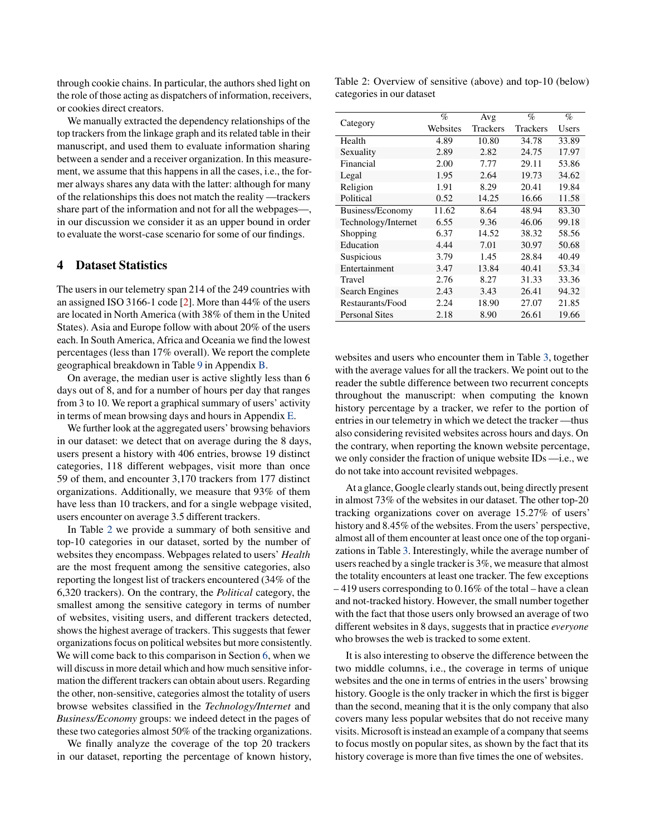through cookie chains. In particular, the authors shed light on the role of those acting as dispatchers of information, receivers, or cookies direct creators.

We manually extracted the dependency relationships of the top trackers from the linkage graph and its related table in their manuscript, and used them to evaluate information sharing between a sender and a receiver organization. In this measurement, we assume that this happens in all the cases, i.e., the former always shares any data with the latter: although for many of the relationships this does not match the reality —trackers share part of the information and not for all the webpages—, in our discussion we consider it as an upper bound in order to evaluate the worst-case scenario for some of our findings.

### <span id="page-3-1"></span>4 Dataset Statistics

The users in our telemetry span 214 of the 249 countries with an assigned ISO 3166-1 code [\[2\]](#page-14-19). More than 44% of the users are located in North America (with 38% of them in the United States). Asia and Europe follow with about 20% of the users each. In South America, Africa and Oceania we find the lowest percentages (less than 17% overall). We report the complete geographical breakdown in Table [9](#page-17-2) in Appendix [B.](#page-17-3)

On average, the median user is active slightly less than 6 days out of 8, and for a number of hours per day that ranges from 3 to 10. We report a graphical summary of users' activity in terms of mean browsing days and hours in Appendix [E.](#page-17-4)

We further look at the aggregated users' browsing behaviors in our dataset: we detect that on average during the 8 days, users present a history with 406 entries, browse 19 distinct categories, 118 different webpages, visit more than once 59 of them, and encounter 3,170 trackers from 177 distinct organizations. Additionally, we measure that 93% of them have less than 10 trackers, and for a single webpage visited, users encounter on average 3.5 different trackers.

In Table [2](#page-3-0) we provide a summary of both sensitive and top-10 categories in our dataset, sorted by the number of websites they encompass. Webpages related to users' *Health* are the most frequent among the sensitive categories, also reporting the longest list of trackers encountered (34% of the 6,320 trackers). On the contrary, the *Political* category, the smallest among the sensitive category in terms of number of websites, visiting users, and different trackers detected, shows the highest average of trackers. This suggests that fewer organizations focus on political websites but more consistently. We will come back to this comparison in Section [6,](#page-8-0) when we will discuss in more detail which and how much sensitive information the different trackers can obtain about users. Regarding the other, non-sensitive, categories almost the totality of users browse websites classified in the *Technology/Internet* and *Business/Economy* groups: we indeed detect in the pages of these two categories almost 50% of the tracking organizations.

We finally analyze the coverage of the top 20 trackers in our dataset, reporting the percentage of known history,

<span id="page-3-0"></span>Table 2: Overview of sensitive (above) and top-10 (below) categories in our dataset

| Category              | $\%$     | Avg             | $\%$            | %     |
|-----------------------|----------|-----------------|-----------------|-------|
|                       | Websites | <b>Trackers</b> | <b>Trackers</b> | Users |
| Health                | 4.89     | 10.80           | 34.78           | 33.89 |
| Sexuality             | 2.89     | 2.82            | 24.75           | 17.97 |
| Financial             | 2.00     | 7.77            | 29.11           | 53.86 |
| Legal                 | 1.95     | 2.64            | 19.73           | 34.62 |
| Religion              | 1.91     | 8.29            | 20.41           | 19.84 |
| Political             | 0.52     | 14.25           | 16.66           | 11.58 |
| Business/Economy      | 11.62    | 8.64            | 48.94           | 83.30 |
| Technology/Internet   | 6.55     | 9.36            | 46.06           | 99.18 |
| Shopping              | 6.37     | 14.52           | 38.32           | 58.56 |
| Education             | 4.44     | 7.01            | 30.97           | 50.68 |
| Suspicious            | 3.79     | 1.45            | 28.84           | 40.49 |
| Entertainment         | 3.47     | 13.84           | 40.41           | 53.34 |
| Travel                | 2.76     | 8.27            | 31.33           | 33.36 |
| Search Engines        | 2.43     | 3.43            | 26.41           | 94.32 |
| Restaurants/Food      | 2.24     | 18.90           | 27.07           | 21.85 |
| <b>Personal Sites</b> | 2.18     | 8.90            | 26.61           | 19.66 |
|                       |          |                 |                 |       |

websites and users who encounter them in Table [3,](#page-4-0) together with the average values for all the trackers. We point out to the reader the subtle difference between two recurrent concepts throughout the manuscript: when computing the known history percentage by a tracker, we refer to the portion of entries in our telemetry in which we detect the tracker —thus also considering revisited websites across hours and days. On the contrary, when reporting the known website percentage, we only consider the fraction of unique website IDs —i.e., we do not take into account revisited webpages.

At a glance, Google clearly stands out, being directly present in almost 73% of the websites in our dataset. The other top-20 tracking organizations cover on average 15.27% of users' history and 8.45% of the websites. From the users' perspective, almost all of them encounter at least once one of the top organizations in Table [3.](#page-4-0) Interestingly, while the average number of users reached by a single tracker is 3%, we measure that almost the totality encounters at least one tracker. The few exceptions – 419 users corresponding to 0.16% of the total – have a clean and not-tracked history. However, the small number together with the fact that those users only browsed an average of two different websites in 8 days, suggests that in practice *everyone* who browses the web is tracked to some extent.

It is also interesting to observe the difference between the two middle columns, i.e., the coverage in terms of unique websites and the one in terms of entries in the users' browsing history. Google is the only tracker in which the first is bigger than the second, meaning that it is the only company that also covers many less popular websites that do not receive many visits. Microsoft is instead an example of a company that seems to focus mostly on popular sites, as shown by the fact that its history coverage is more than five times the one of websites.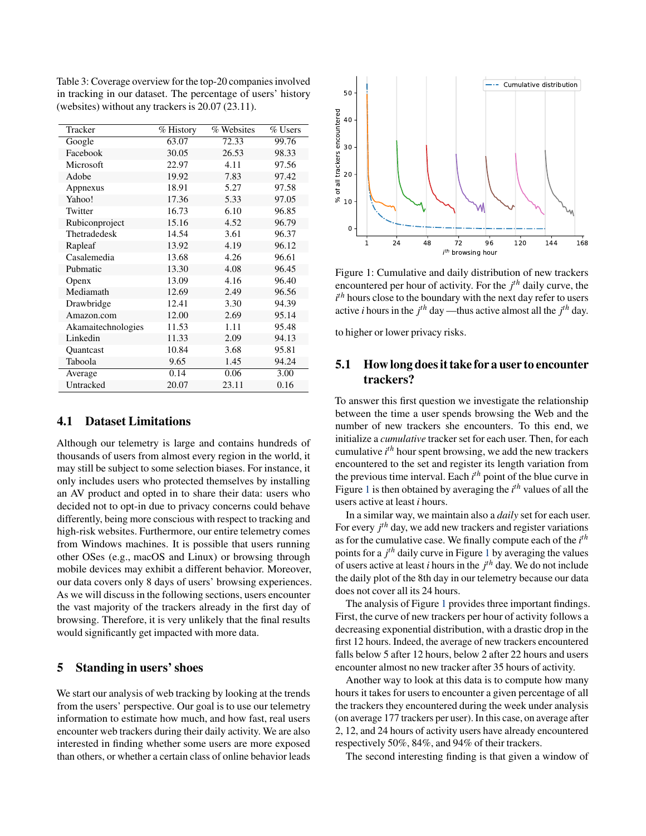<span id="page-4-0"></span>Table 3: Coverage overview for the top-20 companies involved in tracking in our dataset. The percentage of users' history (websites) without any trackers is 20.07 (23.11).

| Tracker            | $\overline{\%}$ History | % Websites | % Users |
|--------------------|-------------------------|------------|---------|
| Google             | 63.07                   | 72.33      | 99.76   |
| Facebook           | 30.05                   | 26.53      | 98.33   |
| Microsoft          | 22.97                   | 4.11       | 97.56   |
| Adobe              | 19.92                   | 7.83       | 97.42   |
| Appnexus           | 18.91                   | 5.27       | 97.58   |
| Yahoo!             | 17.36                   | 5.33       | 97.05   |
| Twitter            | 16.73                   | 6.10       | 96.85   |
| Rubiconproject     | 15.16                   | 4.52       | 96.79   |
| Thetradedesk       | 14.54                   | 3.61       | 96.37   |
| Rapleaf            | 13.92                   | 4.19       | 96.12   |
| Casalemedia        | 13.68                   | 4.26       | 96.61   |
| Pubmatic           | 13.30                   | 4.08       | 96.45   |
| Openx              | 13.09                   | 4.16       | 96.40   |
| Mediamath          | 12.69                   | 2.49       | 96.56   |
| Drawbridge         | 12.41                   | 3.30       | 94.39   |
| Amazon.com         | 12.00                   | 2.69       | 95.14   |
| Akamaitechnologies | 11.53                   | 1.11       | 95.48   |
| Linkedin           | 11.33                   | 2.09       | 94.13   |
| Quantcast          | 10.84                   | 3.68       | 95.81   |
| Taboola            | 9.65                    | 1.45       | 94.24   |
| Average            | 0.14                    | 0.06       | 3.00    |
| Untracked          | 20.07                   | 23.11      | 0.16    |

### 4.1 Dataset Limitations

Although our telemetry is large and contains hundreds of thousands of users from almost every region in the world, it may still be subject to some selection biases. For instance, it only includes users who protected themselves by installing an AV product and opted in to share their data: users who decided not to opt-in due to privacy concerns could behave differently, being more conscious with respect to tracking and high-risk websites. Furthermore, our entire telemetry comes from Windows machines. It is possible that users running other OSes (e.g., macOS and Linux) or browsing through mobile devices may exhibit a different behavior. Moreover, our data covers only 8 days of users' browsing experiences. As we will discuss in the following sections, users encounter the vast majority of the trackers already in the first day of browsing. Therefore, it is very unlikely that the final results would significantly get impacted with more data.

### <span id="page-4-2"></span>5 Standing in users' shoes

We start our analysis of web tracking by looking at the trends from the users' perspective. Our goal is to use our telemetry information to estimate how much, and how fast, real users encounter web trackers during their daily activity. We are also interested in finding whether some users are more exposed than others, or whether a certain class of online behavior leads

<span id="page-4-1"></span>

Figure 1: Cumulative and daily distribution of new trackers encountered per hour of activity. For the *j th* daily curve, the  $i<sup>th</sup>$  hours close to the boundary with the next day refer to users active *i* hours in the  $j<sup>th</sup>$  day —thus active almost all the  $j<sup>th</sup>$  day.

to higher or lower privacy risks.

# 5.1 How long does it take for a user to encounter trackers?

To answer this first question we investigate the relationship between the time a user spends browsing the Web and the number of new trackers she encounters. To this end, we initialize a *cumulative* tracker set for each user. Then, for each cumulative *i th* hour spent browsing, we add the new trackers encountered to the set and register its length variation from the previous time interval. Each *i th* point of the blue curve in Figure [1](#page-4-1) is then obtained by averaging the *i th* values of all the users active at least *i* hours.

In a similar way, we maintain also a *daily* set for each user. For every *j th* day, we add new trackers and register variations as for the cumulative case. We finally compute each of the *i th* points for a *j th* daily curve in Figure [1](#page-4-1) by averaging the values of users active at least *i* hours in the *j th* day. We do not include the daily plot of the 8th day in our telemetry because our data does not cover all its 24 hours.

The analysis of Figure [1](#page-4-1) provides three important findings. First, the curve of new trackers per hour of activity follows a decreasing exponential distribution, with a drastic drop in the first 12 hours. Indeed, the average of new trackers encountered falls below 5 after 12 hours, below 2 after 22 hours and users encounter almost no new tracker after 35 hours of activity.

Another way to look at this data is to compute how many hours it takes for users to encounter a given percentage of all the trackers they encountered during the week under analysis (on average 177 trackers per user). In this case, on average after 2, 12, and 24 hours of activity users have already encountered respectively 50%, 84%, and 94% of their trackers.

The second interesting finding is that given a window of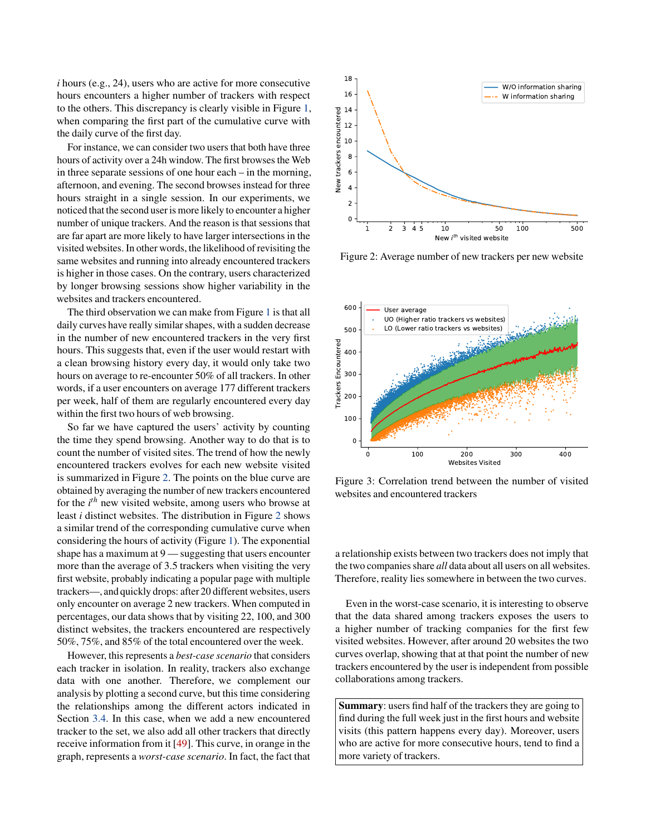*i* hours (e.g., 24), users who are active for more consecutive hours encounters a higher number of trackers with respect to the others. This discrepancy is clearly visible in Figure [1,](#page-4-1) when comparing the first part of the cumulative curve with the daily curve of the first day.

For instance, we can consider two users that both have three hours of activity over a 24h window. The first browses the Web in three separate sessions of one hour each – in the morning, afternoon, and evening. The second browses instead for three hours straight in a single session. In our experiments, we noticed that the second user is more likely to encounter a higher number of unique trackers. And the reason is that sessions that are far apart are more likely to have larger intersections in the visited websites. In other words, the likelihood of revisiting the same websites and running into already encountered trackers is higher in those cases. On the contrary, users characterized by longer browsing sessions show higher variability in the websites and trackers encountered.

The third observation we can make from Figure [1](#page-4-1) is that all daily curves have really similar shapes, with a sudden decrease in the number of new encountered trackers in the very first hours. This suggests that, even if the user would restart with a clean browsing history every day, it would only take two hours on average to re-encounter 50% of all trackers. In other words, if a user encounters on average 177 different trackers per week, half of them are regularly encountered every day within the first two hours of web browsing.

So far we have captured the users' activity by counting the time they spend browsing. Another way to do that is to count the number of visited sites. The trend of how the newly encountered trackers evolves for each new website visited is summarized in Figure [2.](#page-5-0) The points on the blue curve are obtained by averaging the number of new trackers encountered for the *i*<sup>th</sup> new visited website, among users who browse at least *i* distinct websites. The distribution in Figure [2](#page-5-0) shows a similar trend of the corresponding cumulative curve when considering the hours of activity (Figure [1\)](#page-4-1). The exponential shape has a maximum at 9 — suggesting that users encounter more than the average of 3.5 trackers when visiting the very first website, probably indicating a popular page with multiple trackers—, and quickly drops: after 20 different websites, users only encounter on average 2 new trackers. When computed in percentages, our data shows that by visiting 22, 100, and 300 distinct websites, the trackers encountered are respectively 50%, 75%, and 85% of the total encountered over the week.

However, this represents a *best-case scenario* that considers each tracker in isolation. In reality, trackers also exchange data with one another. Therefore, we complement our analysis by plotting a second curve, but this time considering the relationships among the different actors indicated in Section [3.4.](#page-2-3) In this case, when we add a new encountered tracker to the set, we also add all other trackers that directly receive information from it [\[49\]](#page-15-14). This curve, in orange in the graph, represents a *worst-case scenario*. In fact, the fact that

<span id="page-5-0"></span>

Figure 2: Average number of new trackers per new website

<span id="page-5-1"></span>

Figure 3: Correlation trend between the number of visited websites and encountered trackers

a relationship exists between two trackers does not imply that the two companies share *all* data about all users on all websites. Therefore, reality lies somewhere in between the two curves.

Even in the worst-case scenario, it is interesting to observe that the data shared among trackers exposes the users to a higher number of tracking companies for the first few visited websites. However, after around 20 websites the two curves overlap, showing that at that point the number of new trackers encountered by the user is independent from possible collaborations among trackers.

Summary: users find half of the trackers they are going to find during the full week just in the first hours and website visits (this pattern happens every day). Moreover, users who are active for more consecutive hours, tend to find a more variety of trackers.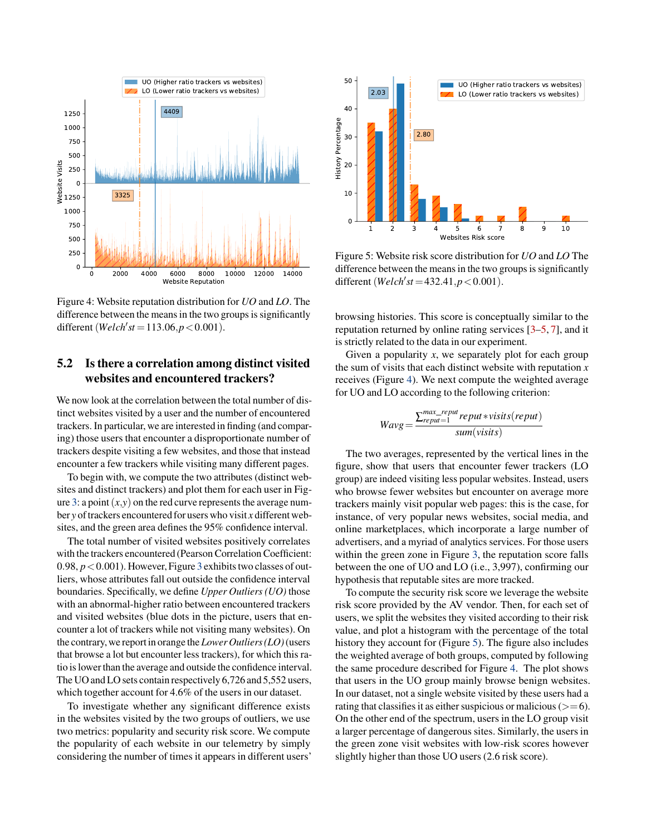<span id="page-6-0"></span>

Figure 4: Website reputation distribution for *UO* and *LO*. The difference between the means in the two groups is significantly different (*Welch'st* = 113.06, $p < 0.001$ ).

### 5.2 Is there a correlation among distinct visited websites and encountered trackers?

We now look at the correlation between the total number of distinct websites visited by a user and the number of encountered trackers. In particular, we are interested in finding (and comparing) those users that encounter a disproportionate number of trackers despite visiting a few websites, and those that instead encounter a few trackers while visiting many different pages.

To begin with, we compute the two attributes (distinct websites and distinct trackers) and plot them for each user in Fig-ure [3:](#page-5-1) a point  $(x,y)$  on the red curve represents the average number *y* of trackers encountered for users who visit *x* different websites, and the green area defines the 95% confidence interval.

The total number of visited websites positively correlates with the trackers encountered (Pearson Correlation Coefficient: 0.98,  $p < 0.001$ ). However, Figure [3](#page-5-1) exhibits two classes of outliers, whose attributes fall out outside the confidence interval boundaries. Specifically, we define *Upper Outliers (UO)* those with an abnormal-higher ratio between encountered trackers and visited websites (blue dots in the picture, users that encounter a lot of trackers while not visiting many websites). On the contrary,we reportin orange the *Lower Outliers (LO)*(users that browse a lot but encounter less trackers), for which this ratio is lower than the average and outside the confidence interval. The UO and LO sets contain respectively 6,726 and 5,552 users, which together account for 4.6% of the users in our dataset.

To investigate whether any significant difference exists in the websites visited by the two groups of outliers, we use two metrics: popularity and security risk score. We compute the popularity of each website in our telemetry by simply considering the number of times it appears in different users'

<span id="page-6-1"></span>

Figure 5: Website risk score distribution for *UO* and *LO* The difference between the means in the two groups is significantly different (*Welch'st* = 432.41, $p < 0.001$ ).

browsing histories. This score is conceptually similar to the reputation returned by online rating services [\[3–](#page-14-4)[5,](#page-14-20) [7\]](#page-14-21), and it is strictly related to the data in our experiment.

Given a popularity  $x$ , we separately plot for each group the sum of visits that each distinct website with reputation *x* receives (Figure [4\)](#page-6-0). We next compute the weighted average for UO and LO according to the following criterion:

$$
Wavg = \frac{\sum_{reput=1}^{max\_reput} reput*visits(reput)}{sum(visits)}
$$

The two averages, represented by the vertical lines in the figure, show that users that encounter fewer trackers (LO group) are indeed visiting less popular websites. Instead, users who browse fewer websites but encounter on average more trackers mainly visit popular web pages: this is the case, for instance, of very popular news websites, social media, and online marketplaces, which incorporate a large number of advertisers, and a myriad of analytics services. For those users within the green zone in Figure [3,](#page-5-1) the reputation score falls between the one of UO and LO (i.e., 3,997), confirming our hypothesis that reputable sites are more tracked.

To compute the security risk score we leverage the website risk score provided by the AV vendor. Then, for each set of users, we split the websites they visited according to their risk value, and plot a histogram with the percentage of the total history they account for (Figure [5\)](#page-6-1). The figure also includes the weighted average of both groups, computed by following the same procedure described for Figure [4.](#page-6-0) The plot shows that users in the UO group mainly browse benign websites. In our dataset, not a single website visited by these users had a rating that classifies it as either suspicious or malicious  $(>=6)$ . On the other end of the spectrum, users in the LO group visit a larger percentage of dangerous sites. Similarly, the users in the green zone visit websites with low-risk scores however slightly higher than those UO users (2.6 risk score).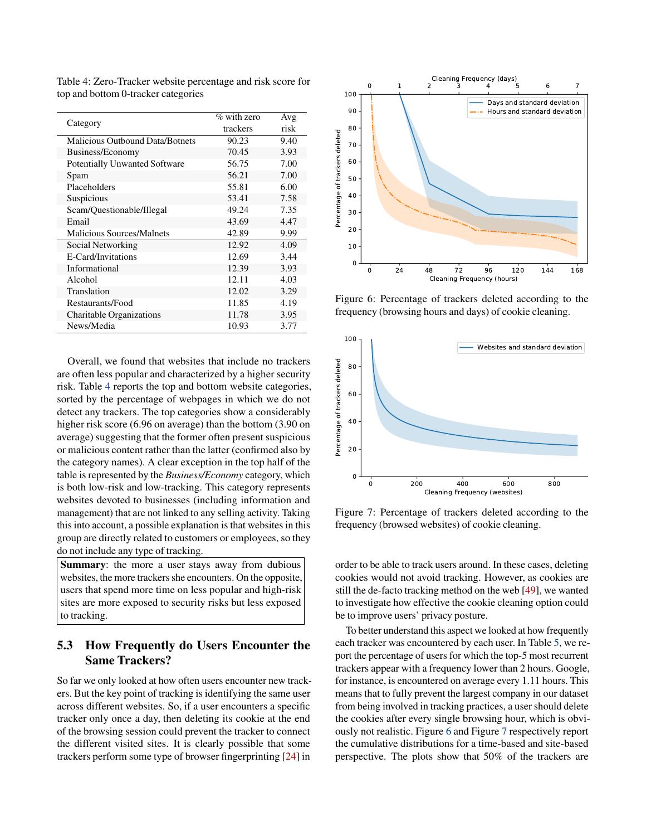<span id="page-7-0"></span>Table 4: Zero-Tracker website percentage and risk score for top and bottom 0-tracker categories

| Category                               | $\%$ with zero | Avg  |
|----------------------------------------|----------------|------|
|                                        | trackers       | risk |
| <b>Malicious Outbound Data/Botnets</b> | 90.23          | 9.40 |
| Business/Economy                       | 70.45          | 3.93 |
| <b>Potentially Unwanted Software</b>   | 56.75          | 7.00 |
| Spam                                   | 56.21          | 7.00 |
| Placeholders                           | 55.81          | 6.00 |
| Suspicious                             | 53.41          | 7.58 |
| Scam/Questionable/Illegal              | 49.24          | 7.35 |
| Email                                  | 43.69          | 4.47 |
| <b>Malicious Sources/Malnets</b>       | 42.89          | 9.99 |
| Social Networking                      | 12.92          | 4.09 |
| E-Card/Invitations                     | 12.69          | 3.44 |
| Informational                          | 12.39          | 3.93 |
| Alcohol                                | 12.11          | 4.03 |
| Translation                            | 12.02          | 3.29 |
| Restaurants/Food                       | 11.85          | 4.19 |
| Charitable Organizations               | 11.78          | 3.95 |
| News/Media                             | 10.93          | 3.77 |

Overall, we found that websites that include no trackers are often less popular and characterized by a higher security risk. Table [4](#page-7-0) reports the top and bottom website categories, sorted by the percentage of webpages in which we do not detect any trackers. The top categories show a considerably higher risk score (6.96 on average) than the bottom (3.90 on average) suggesting that the former often present suspicious or malicious content rather than the latter (confirmed also by the category names). A clear exception in the top half of the table is represented by the *Business/Economy* category, which is both low-risk and low-tracking. This category represents websites devoted to businesses (including information and management) that are not linked to any selling activity. Taking this into account, a possible explanation is that websites in this group are directly related to customers or employees, so they do not include any type of tracking.

Summary: the more a user stays away from dubious websites, the more trackers she encounters. On the opposite, users that spend more time on less popular and high-risk sites are more exposed to security risks but less exposed to tracking.

### 5.3 How Frequently do Users Encounter the Same Trackers?

So far we only looked at how often users encounter new trackers. But the key point of tracking is identifying the same user across different websites. So, if a user encounters a specific tracker only once a day, then deleting its cookie at the end of the browsing session could prevent the tracker to connect the different visited sites. It is clearly possible that some trackers perform some type of browser fingerprinting [\[24\]](#page-14-3) in

<span id="page-7-1"></span>

Figure 6: Percentage of trackers deleted according to the frequency (browsing hours and days) of cookie cleaning.

<span id="page-7-2"></span>

Figure 7: Percentage of trackers deleted according to the frequency (browsed websites) of cookie cleaning.

order to be able to track users around. In these cases, deleting cookies would not avoid tracking. However, as cookies are still the de-facto tracking method on the web [\[49\]](#page-15-14), we wanted to investigate how effective the cookie cleaning option could be to improve users' privacy posture.

To better understand this aspect we looked at how frequently each tracker was encountered by each user. In Table [5,](#page-8-1) we report the percentage of users for which the top-5 most recurrent trackers appear with a frequency lower than 2 hours. Google, for instance, is encountered on average every 1.11 hours. This means that to fully prevent the largest company in our dataset from being involved in tracking practices, a user should delete the cookies after every single browsing hour, which is obviously not realistic. Figure [6](#page-7-1) and Figure [7](#page-7-2) respectively report the cumulative distributions for a time-based and site-based perspective. The plots show that 50% of the trackers are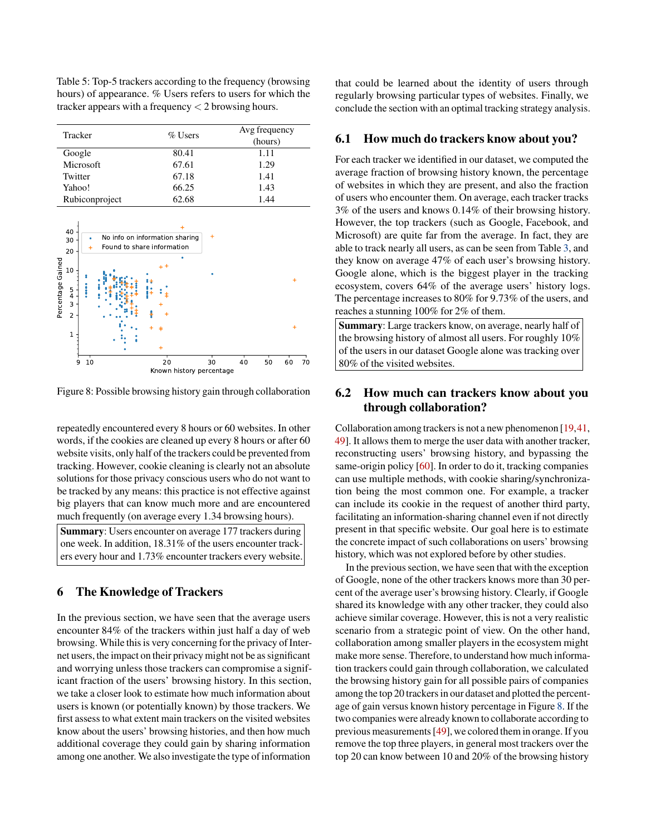<span id="page-8-1"></span>Table 5: Top-5 trackers according to the frequency (browsing hours) of appearance. % Users refers to users for which the tracker appears with a frequency < 2 browsing hours.

| Tracker        | $\%$ Users | Avg frequency<br>(hours) |
|----------------|------------|--------------------------|
| Google         | 80.41      | 1.11                     |
| Microsoft      | 67.61      | 1.29                     |
| Twitter        | 67.18      | 1.41                     |
| Yahoo!         | 66.25      | 1.43                     |
| Rubiconproject | 62.68      | 1.44                     |

<span id="page-8-2"></span>

Figure 8: Possible browsing history gain through collaboration

repeatedly encountered every 8 hours or 60 websites. In other words, if the cookies are cleaned up every 8 hours or after 60 website visits, only half of the trackers could be prevented from tracking. However, cookie cleaning is clearly not an absolute solutions for those privacy conscious users who do not want to be tracked by any means: this practice is not effective against big players that can know much more and are encountered much frequently (on average every 1.34 browsing hours).

Summary: Users encounter on average 177 trackers during one week. In addition, 18.31% of the users encounter trackers every hour and 1.73% encounter trackers every website.

# <span id="page-8-0"></span>6 The Knowledge of Trackers

In the previous section, we have seen that the average users encounter 84% of the trackers within just half a day of web browsing. While this is very concerning for the privacy of Internet users, the impact on their privacy might not be as significant and worrying unless those trackers can compromise a significant fraction of the users' browsing history. In this section, we take a closer look to estimate how much information about users is known (or potentially known) by those trackers. We first assess to what extent main trackers on the visited websites know about the users' browsing histories, and then how much additional coverage they could gain by sharing information among one another. We also investigate the type of information

that could be learned about the identity of users through regularly browsing particular types of websites. Finally, we conclude the section with an optimal tracking strategy analysis.

#### 6.1 How much do trackers know about you?

For each tracker we identified in our dataset, we computed the average fraction of browsing history known, the percentage of websites in which they are present, and also the fraction of users who encounter them. On average, each tracker tracks 3% of the users and knows 0.14% of their browsing history. However, the top trackers (such as Google, Facebook, and Microsoft) are quite far from the average. In fact, they are able to track nearly all users, as can be seen from Table [3,](#page-4-0) and they know on average 47% of each user's browsing history. Google alone, which is the biggest player in the tracking ecosystem, covers 64% of the average users' history logs. The percentage increases to 80% for 9.73% of the users, and reaches a stunning 100% for 2% of them.

Summary: Large trackers know, on average, nearly half of the browsing history of almost all users. For roughly 10% of the users in our dataset Google alone was tracking over 80% of the visited websites.

# 6.2 How much can trackers know about you through collaboration?

Collaboration among trackers is not a new phenomenon [\[19,](#page-14-8)[41,](#page-15-12) [49\]](#page-15-14). It allows them to merge the user data with another tracker, reconstructing users' browsing history, and bypassing the same-origin policy [\[60\]](#page-16-10). In order to do it, tracking companies can use multiple methods, with cookie sharing/synchronization being the most common one. For example, a tracker can include its cookie in the request of another third party, facilitating an information-sharing channel even if not directly present in that specific website. Our goal here is to estimate the concrete impact of such collaborations on users' browsing history, which was not explored before by other studies.

In the previous section, we have seen that with the exception of Google, none of the other trackers knows more than 30 percent of the average user's browsing history. Clearly, if Google shared its knowledge with any other tracker, they could also achieve similar coverage. However, this is not a very realistic scenario from a strategic point of view. On the other hand, collaboration among smaller players in the ecosystem might make more sense. Therefore, to understand how much information trackers could gain through collaboration, we calculated the browsing history gain for all possible pairs of companies among the top 20 trackers in our dataset and plotted the percentage of gain versus known history percentage in Figure [8.](#page-8-2) If the two companies were already known to collaborate according to previous measurements [\[49\]](#page-15-14), we colored them in orange. If you remove the top three players, in general most trackers over the top 20 can know between 10 and 20% of the browsing history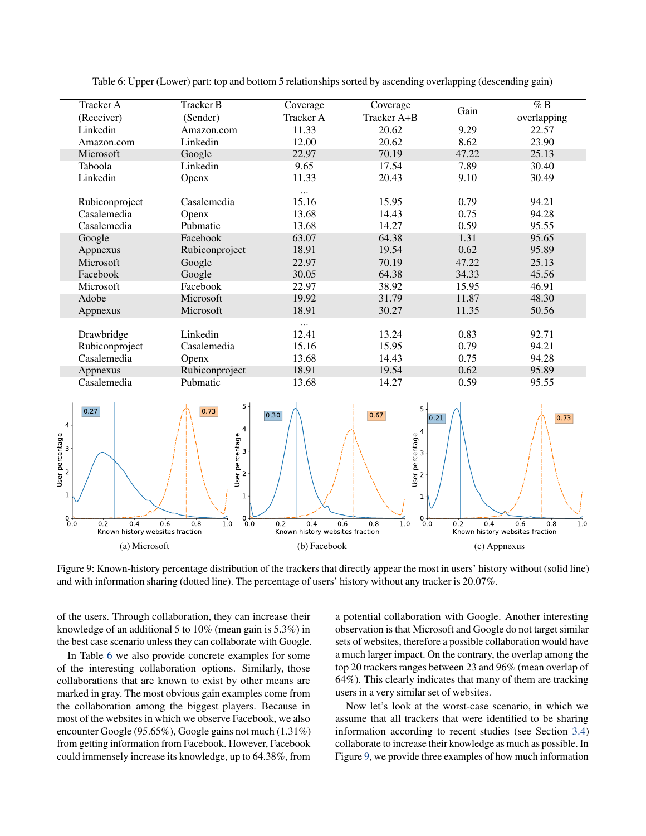<span id="page-9-0"></span>

| Tracker A      | <b>Tracker B</b> | Coverage         | Coverage    |       | $\%$ B      |
|----------------|------------------|------------------|-------------|-------|-------------|
| (Receiver)     | (Sender)         | <b>Tracker A</b> | Tracker A+B | Gain  | overlapping |
| Linkedin       | Amazon.com       | 11.33            | 20.62       | 9.29  | 22.57       |
| Amazon.com     | Linkedin         | 12.00            | 20.62       | 8.62  | 23.90       |
| Microsoft      | Google           | 22.97            | 70.19       | 47.22 | 25.13       |
| Taboola        | Linkedin         | 9.65             | 17.54       | 7.89  | 30.40       |
| Linkedin       | Openx            | 11.33            | 20.43       | 9.10  | 30.49       |
|                |                  | $\cdots$         |             |       |             |
| Rubiconproject | Casalemedia      | 15.16            | 15.95       | 0.79  | 94.21       |
| Casalemedia    | Openx            | 13.68            | 14.43       | 0.75  | 94.28       |
| Casalemedia    | Pubmatic         | 13.68            | 14.27       | 0.59  | 95.55       |
| Google         | Facebook         | 63.07            | 64.38       | 1.31  | 95.65       |
| Appnexus       | Rubiconproject   | 18.91            | 19.54       | 0.62  | 95.89       |
| Microsoft      | Google           | 22.97            | 70.19       | 47.22 | 25.13       |
| Facebook       | Google           | 30.05            | 64.38       | 34.33 | 45.56       |
| Microsoft      | Facebook         | 22.97            | 38.92       | 15.95 | 46.91       |
| Adobe          | Microsoft        | 19.92            | 31.79       | 11.87 | 48.30       |
| Appnexus       | Microsoft        | 18.91            | 30.27       | 11.35 | 50.56       |
|                |                  | $\cdots$         |             |       |             |
| Drawbridge     | Linkedin         | 12.41            | 13.24       | 0.83  | 92.71       |
| Rubiconproject | Casalemedia      | 15.16            | 15.95       | 0.79  | 94.21       |
| Casalemedia    | Openx            | 13.68            | 14.43       | 0.75  | 94.28       |
| Appnexus       | Rubiconproject   | 18.91            | 19.54       | 0.62  | 95.89       |
| Casalemedia    | Pubmatic         | 13.68            | 14.27       | 0.59  | 95.55       |

Table 6: Upper (Lower) part: top and bottom 5 relationships sorted by ascending overlapping (descending gain)

<span id="page-9-1"></span>

Figure 9: Known-history percentage distribution of the trackers that directly appear the most in users' history without (solid line) and with information sharing (dotted line). The percentage of users' history without any tracker is 20.07%.

of the users. Through collaboration, they can increase their knowledge of an additional 5 to 10% (mean gain is 5.3%) in the best case scenario unless they can collaborate with Google.

In Table [6](#page-9-0) we also provide concrete examples for some of the interesting collaboration options. Similarly, those collaborations that are known to exist by other means are marked in gray. The most obvious gain examples come from the collaboration among the biggest players. Because in most of the websites in which we observe Facebook, we also encounter Google (95.65%), Google gains not much (1.31%) from getting information from Facebook. However, Facebook could immensely increase its knowledge, up to 64.38%, from

a potential collaboration with Google. Another interesting observation is that Microsoft and Google do not target similar sets of websites, therefore a possible collaboration would have a much larger impact. On the contrary, the overlap among the top 20 trackers ranges between 23 and 96% (mean overlap of 64%). This clearly indicates that many of them are tracking users in a very similar set of websites.

Now let's look at the worst-case scenario, in which we assume that all trackers that were identified to be sharing information according to recent studies (see Section [3.4\)](#page-2-3) collaborate to increase their knowledge as much as possible. In Figure [9,](#page-9-1) we provide three examples of how much information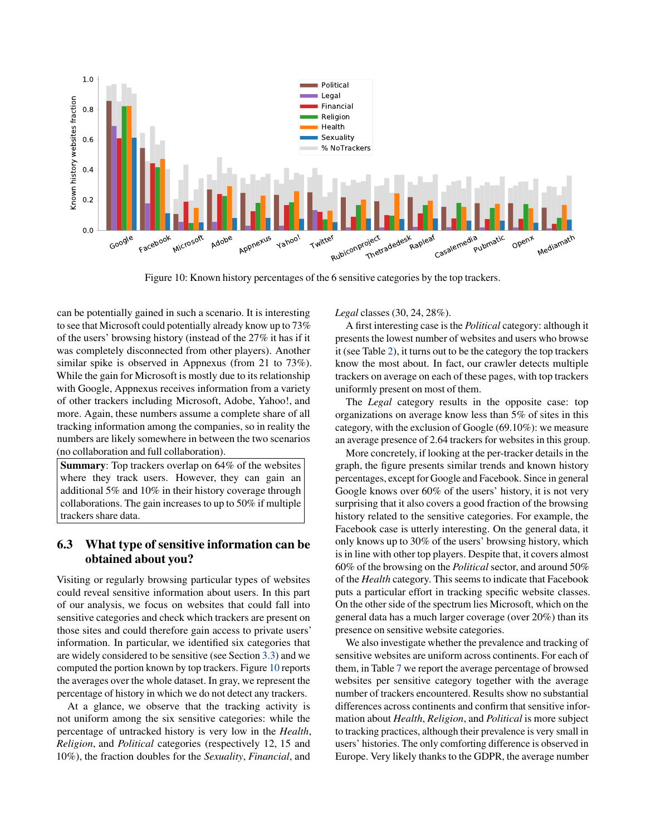<span id="page-10-0"></span>

Figure 10: Known history percentages of the 6 sensitive categories by the top trackers.

can be potentially gained in such a scenario. It is interesting to see that Microsoft could potentially already know up to 73% of the users' browsing history (instead of the 27% it has if it was completely disconnected from other players). Another similar spike is observed in Appnexus (from 21 to 73%). While the gain for Microsoft is mostly due to its relationship with Google, Appnexus receives information from a variety of other trackers including Microsoft, Adobe, Yahoo!, and more. Again, these numbers assume a complete share of all tracking information among the companies, so in reality the numbers are likely somewhere in between the two scenarios (no collaboration and full collaboration).

Summary: Top trackers overlap on 64% of the websites where they track users. However, they can gain an additional 5% and 10% in their history coverage through collaborations. The gain increases to up to 50% if multiple trackers share data.

# 6.3 What type of sensitive information can be obtained about you?

Visiting or regularly browsing particular types of websites could reveal sensitive information about users. In this part of our analysis, we focus on websites that could fall into sensitive categories and check which trackers are present on those sites and could therefore gain access to private users' information. In particular, we identified six categories that are widely considered to be sensitive (see Section [3.3\)](#page-2-1) and we computed the portion known by top trackers. Figure [10](#page-10-0) reports the averages over the whole dataset. In gray, we represent the percentage of history in which we do not detect any trackers.

At a glance, we observe that the tracking activity is not uniform among the six sensitive categories: while the percentage of untracked history is very low in the *Health*, *Religion*, and *Political* categories (respectively 12, 15 and 10%), the fraction doubles for the *Sexuality*, *Financial*, and

*Legal* classes (30, 24, 28%).

A first interesting case is the *Political* category: although it presents the lowest number of websites and users who browse it (see Table [2\)](#page-3-0), it turns out to be the category the top trackers know the most about. In fact, our crawler detects multiple trackers on average on each of these pages, with top trackers uniformly present on most of them.

The *Legal* category results in the opposite case: top organizations on average know less than 5% of sites in this category, with the exclusion of Google (69.10%): we measure an average presence of 2.64 trackers for websites in this group.

More concretely, if looking at the per-tracker details in the graph, the figure presents similar trends and known history percentages, except for Google and Facebook. Since in general Google knows over 60% of the users' history, it is not very surprising that it also covers a good fraction of the browsing history related to the sensitive categories. For example, the Facebook case is utterly interesting. On the general data, it only knows up to 30% of the users' browsing history, which is in line with other top players. Despite that, it covers almost 60% of the browsing on the *Political* sector, and around 50% of the *Health* category. This seems to indicate that Facebook puts a particular effort in tracking specific website classes. On the other side of the spectrum lies Microsoft, which on the general data has a much larger coverage (over 20%) than its presence on sensitive website categories.

We also investigate whether the prevalence and tracking of sensitive websites are uniform across continents. For each of them, in Table [7](#page-11-0) we report the average percentage of browsed websites per sensitive category together with the average number of trackers encountered. Results show no substantial differences across continents and confirm that sensitive information about *Health*, *Religion*, and *Political* is more subject to tracking practices, although their prevalence is very small in users' histories. The only comforting difference is observed in Europe. Very likely thanks to the GDPR, the average number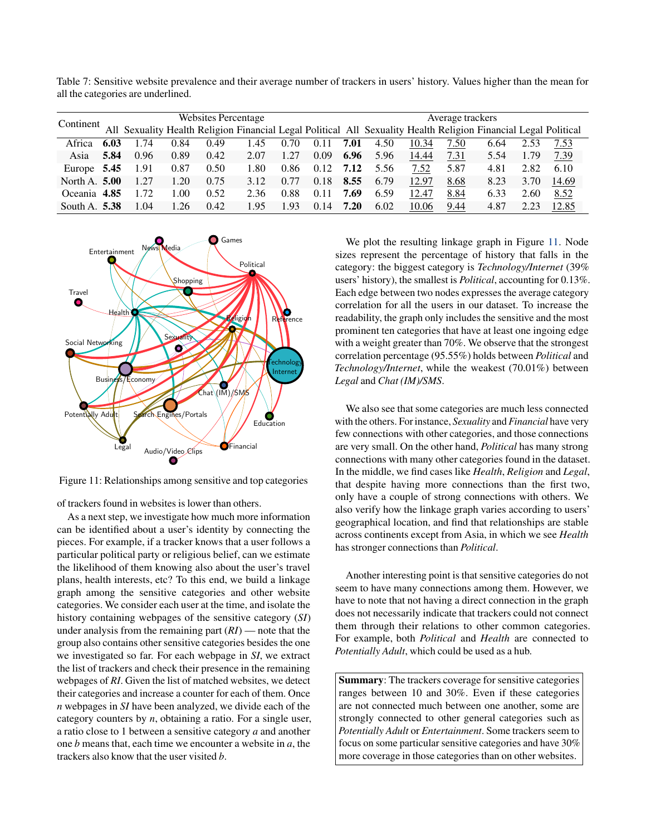<span id="page-11-0"></span>Table 7: Sensitive website prevalence and their average number of trackers in users' history. Values higher than the mean for all the categories are underlined.

| Continent       |      | <b>Websites Percentage</b> |      |      |      |      |      |      | Average trackers                                                                                                |       |      |      |      |       |
|-----------------|------|----------------------------|------|------|------|------|------|------|-----------------------------------------------------------------------------------------------------------------|-------|------|------|------|-------|
|                 |      |                            |      |      |      |      |      |      | All Sexuality Health Religion Financial Legal Political All Sexuality Health Religion Financial Legal Political |       |      |      |      |       |
| Africa          | 6.03 | 1.74                       | 0.84 | 0.49 | 1.45 | 0.70 | 0.11 | 7.01 | 4.50                                                                                                            | 10.34 | 7.50 | 6.64 | 2.53 | 7.53  |
| Asia            | 5.84 | 0.96                       | 0.89 | 0.42 | 2.07 | 1.27 | 0.09 | 6.96 | 5.96                                                                                                            | 14.44 | 7.31 | 5.54 | 1.79 | 7.39  |
| Europe 5.45     |      | 1.91                       | 0.87 | 0.50 | 1.80 | 0.86 | 0.12 | 7.12 | 5.56                                                                                                            | 7.52  | 5.87 | 4.81 | 2.82 | 6.10  |
| North A. 5.00   |      | 1.27                       | 1.20 | 0.75 | 3.12 | 0.77 | 0.18 | 8.55 | 6.79                                                                                                            | 12.97 | 8.68 | 8.23 | 3.70 | 14.69 |
| Oceania 4.85    |      | 1.72                       | 1.00 | 0.52 | 2.36 | 0.88 | 0.11 | 7.69 | 6.59                                                                                                            | 12.47 | 8.84 | 6.33 | 2.60 | 8.52  |
| South A. $5.38$ |      | 1.04                       | 1.26 | 0.42 | 1.95 | 1.93 | 0.14 | 7.20 | 6.02                                                                                                            | 10.06 | 9.44 | 4.87 | 2.23 | 12.85 |

<span id="page-11-1"></span>

Figure 11: Relationships among sensitive and top categories

of trackers found in websites is lower than others.

As a next step, we investigate how much more information can be identified about a user's identity by connecting the pieces. For example, if a tracker knows that a user follows a particular political party or religious belief, can we estimate the likelihood of them knowing also about the user's travel plans, health interests, etc? To this end, we build a linkage graph among the sensitive categories and other website categories. We consider each user at the time, and isolate the history containing webpages of the sensitive category (*SI*) under analysis from the remaining part (*RI*) — note that the group also contains other sensitive categories besides the one we investigated so far. For each webpage in *SI*, we extract the list of trackers and check their presence in the remaining webpages of *RI*. Given the list of matched websites, we detect their categories and increase a counter for each of them. Once *n* webpages in *SI* have been analyzed, we divide each of the category counters by *n*, obtaining a ratio. For a single user, a ratio close to 1 between a sensitive category *a* and another one *b* means that, each time we encounter a website in *a*, the trackers also know that the user visited *b*.

We plot the resulting linkage graph in Figure [11.](#page-11-1) Node sizes represent the percentage of history that falls in the category: the biggest category is *Technology/Internet* (39% users' history), the smallest is *Political*, accounting for 0.13%. Each edge between two nodes expresses the average category correlation for all the users in our dataset. To increase the readability, the graph only includes the sensitive and the most prominent ten categories that have at least one ingoing edge with a weight greater than 70%. We observe that the strongest correlation percentage (95.55%) holds between *Political* and *Technology/Internet*, while the weakest (70.01%) between *Legal* and *Chat (IM)/SMS*.

We also see that some categories are much less connected with the others. For instance, *Sexuality* and *Financial* have very few connections with other categories, and those connections are very small. On the other hand, *Political* has many strong connections with many other categories found in the dataset. In the middle, we find cases like *Health*, *Religion* and *Legal*, that despite having more connections than the first two, only have a couple of strong connections with others. We also verify how the linkage graph varies according to users' geographical location, and find that relationships are stable across continents except from Asia, in which we see *Health* has stronger connections than *Political*.

Another interesting point is that sensitive categories do not seem to have many connections among them. However, we have to note that not having a direct connection in the graph does not necessarily indicate that trackers could not connect them through their relations to other common categories. For example, both *Political* and *Health* are connected to *Potentially Adult*, which could be used as a hub.

Summary: The trackers coverage for sensitive categories ranges between 10 and 30%. Even if these categories are not connected much between one another, some are strongly connected to other general categories such as *Potentially Adult* or *Entertainment*. Some trackers seem to focus on some particular sensitive categories and have 30% more coverage in those categories than on other websites.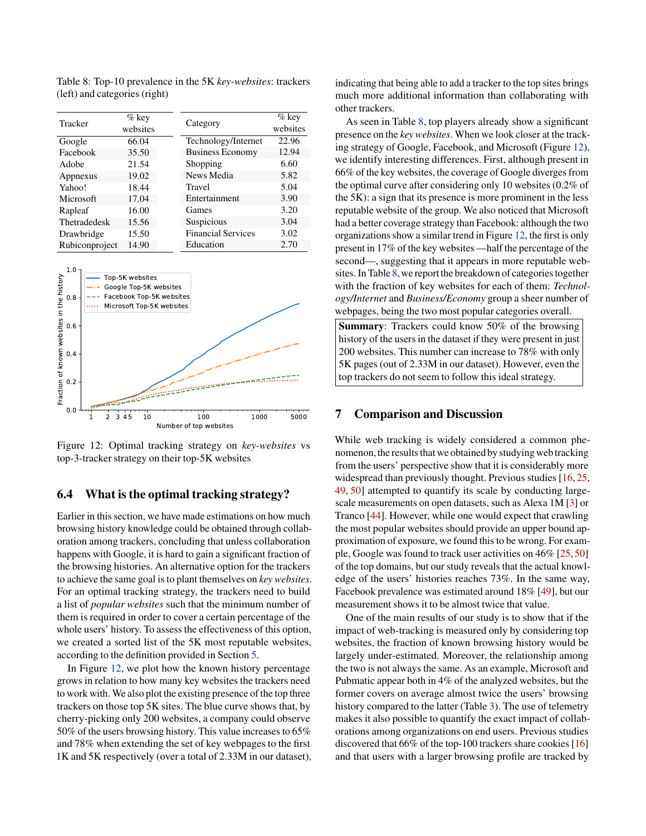<span id="page-12-1"></span>Table 8: Top-10 prevalence in the 5K *key-websites*: trackers (left) and categories (right)

| Tracker        | $%$ key<br>websites | Category                  | $\%$ key<br>websites |
|----------------|---------------------|---------------------------|----------------------|
| Google         | 66.04               | Technology/Internet       | 22.96                |
| Facebook       | 35.50               | <b>Business Economy</b>   | 12.94                |
| Adobe          | 21.54               | Shopping                  | 6.60                 |
| Appnexus       | 19.02               | News Media                | 5.82                 |
| Yahoo!         | 18.44               | Travel                    | 5.04                 |
| Microsoft      | 17.04               | Entertainment             | 3.90                 |
| Rapleaf        | 16.00               | Games                     | 3.20                 |
| Thetradedesk   | 15.56               | Suspicious                | 3.04                 |
| Drawbridge     | 15.50               | <b>Financial Services</b> | 3.02                 |
| Rubiconproject | 14.90               | Education                 | 2.70                 |

<span id="page-12-0"></span>

Figure 12: Optimal tracking strategy on *key-websites* vs top-3-tracker strategy on their top-5K websites

### 6.4 What is the optimal tracking strategy?

Earlier in this section, we have made estimations on how much browsing history knowledge could be obtained through collaboration among trackers, concluding that unless collaboration happens with Google, it is hard to gain a significant fraction of the browsing histories. An alternative option for the trackers to achieve the same goal is to plant themselves on *key websites*. For an optimal tracking strategy, the trackers need to build a list of *popular websites* such that the minimum number of them is required in order to cover a certain percentage of the whole users' history. To assess the effectiveness of this option, we created a sorted list of the 5K most reputable websites, according to the definition provided in Section [5.](#page-4-2)

In Figure [12,](#page-12-0) we plot how the known history percentage grows in relation to how many key websites the trackers need to work with. We also plot the existing presence of the top three trackers on those top 5K sites. The blue curve shows that, by cherry-picking only 200 websites, a company could observe 50% of the users browsing history. This value increases to 65% and 78% when extending the set of key webpages to the first 1K and 5K respectively (over a total of 2.33M in our dataset), indicating that being able to add a tracker to the top sites brings much more additional information than collaborating with other trackers.

As seen in Table [8,](#page-12-1) top players already show a significant presence on the *key websites*. When we look closer at the tracking strategy of Google, Facebook, and Microsoft (Figure [12\)](#page-12-0), we identify interesting differences. First, although present in 66% of the key websites, the coverage of Google diverges from the optimal curve after considering only 10 websites (0.2% of the 5K): a sign that its presence is more prominent in the less reputable website of the group. We also noticed that Microsoft had a better coverage strategy than Facebook: although the two organizations show a similar trend in Figure [12,](#page-12-0) the first is only present in 17% of the key websites —half the percentage of the second—, suggesting that it appears in more reputable web-sites. In Table [8,](#page-12-1) we report the breakdown of categories together with the fraction of key websites for each of them: *Technology/Internet* and *Business/Economy* group a sheer number of webpages, being the two most popular categories overall.

Summary: Trackers could know 50% of the browsing history of the users in the dataset if they were present in just 200 websites. This number can increase to 78% with only 5K pages (out of 2.33M in our dataset). However, even the top trackers do not seem to follow this ideal strategy.

#### 7 Comparison and Discussion

While web tracking is widely considered a common phenomenon,the results that we obtained by studying web tracking from the users' perspective show that it is considerably more widespread than previously thought. Previous studies [\[16,](#page-14-0) [25,](#page-14-9) [49,](#page-15-14) [50\]](#page-16-0) attempted to quantify its scale by conducting largescale measurements on open datasets, such as Alexa 1M [\[3\]](#page-14-4) or Tranco [\[44\]](#page-15-22). However, while one would expect that crawling the most popular websites should provide an upper bound approximation of exposure, we found this to be wrong. For example, Google was found to track user activities on 46% [\[25,](#page-14-9) [50\]](#page-16-0) of the top domains, but our study reveals that the actual knowledge of the users' histories reaches 73%. In the same way, Facebook prevalence was estimated around 18% [\[49\]](#page-15-14), but our measurement shows it to be almost twice that value.

One of the main results of our study is to show that if the impact of web-tracking is measured only by considering top websites, the fraction of known browsing history would be largely under-estimated. Moreover, the relationship among the two is not always the same. As an example, Microsoft and Pubmatic appear both in 4% of the analyzed websites, but the former covers on average almost twice the users' browsing history compared to the latter (Table [3\)](#page-4-0). The use of telemetry makes it also possible to quantify the exact impact of collaborations among organizations on end users. Previous studies discovered that 66% of the top-100 trackers share cookies [\[16\]](#page-14-0) and that users with a larger browsing profile are tracked by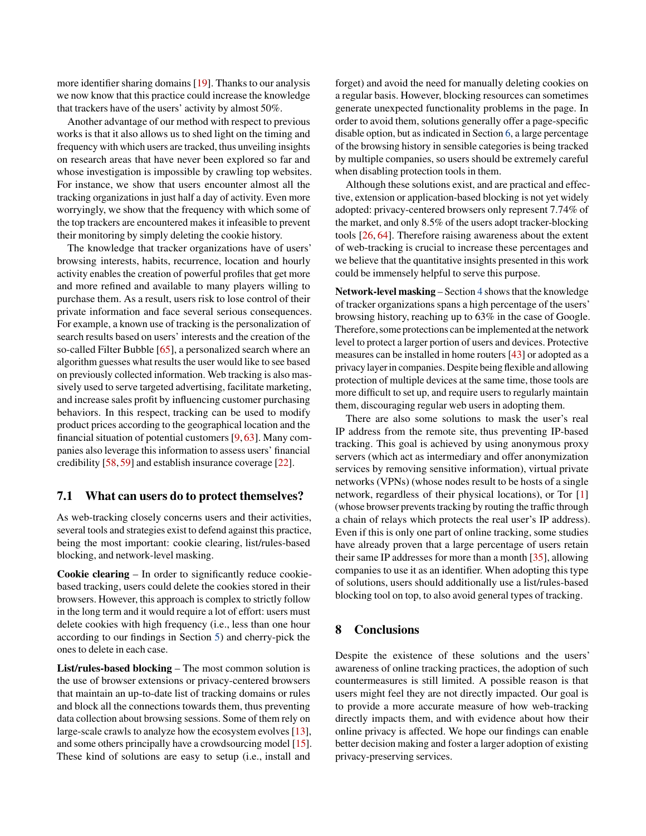more identifier sharing domains [\[19\]](#page-14-8). Thanks to our analysis we now know that this practice could increase the knowledge that trackers have of the users' activity by almost 50%.

Another advantage of our method with respect to previous works is that it also allows us to shed light on the timing and frequency with which users are tracked, thus unveiling insights on research areas that have never been explored so far and whose investigation is impossible by crawling top websites. For instance, we show that users encounter almost all the tracking organizations in just half a day of activity. Even more worryingly, we show that the frequency with which some of the top trackers are encountered makes it infeasible to prevent their monitoring by simply deleting the cookie history.

The knowledge that tracker organizations have of users' browsing interests, habits, recurrence, location and hourly activity enables the creation of powerful profiles that get more and more refined and available to many players willing to purchase them. As a result, users risk to lose control of their private information and face several serious consequences. For example, a known use of tracking is the personalization of search results based on users' interests and the creation of the so-called Filter Bubble [\[65\]](#page-16-11), a personalized search where an algorithm guesses what results the user would like to see based on previously collected information. Web tracking is also massively used to serve targeted advertising, facilitate marketing, and increase sales profit by influencing customer purchasing behaviors. In this respect, tracking can be used to modify product prices according to the geographical location and the financial situation of potential customers [\[9,](#page-14-22) [63\]](#page-16-12). Many companies also leverage this information to assess users' financial credibility [\[58,](#page-16-13) [59\]](#page-16-14) and establish insurance coverage [\[22\]](#page-14-23).

### 7.1 What can users do to protect themselves?

As web-tracking closely concerns users and their activities, several tools and strategies exist to defend against this practice, being the most important: cookie clearing, list/rules-based blocking, and network-level masking.

Cookie clearing – In order to significantly reduce cookiebased tracking, users could delete the cookies stored in their browsers. However, this approach is complex to strictly follow in the long term and it would require a lot of effort: users must delete cookies with high frequency (i.e., less than one hour according to our findings in Section [5\)](#page-4-2) and cherry-pick the ones to delete in each case.

List/rules-based blocking – The most common solution is the use of browser extensions or privacy-centered browsers that maintain an up-to-date list of tracking domains or rules and block all the connections towards them, thus preventing data collection about browsing sessions. Some of them rely on large-scale crawls to analyze how the ecosystem evolves [\[13\]](#page-14-14), and some others principally have a crowdsourcing model [\[15\]](#page-14-13). These kind of solutions are easy to setup (i.e., install and

forget) and avoid the need for manually deleting cookies on a regular basis. However, blocking resources can sometimes generate unexpected functionality problems in the page. In order to avoid them, solutions generally offer a page-specific disable option, but as indicated in Section [6,](#page-8-0) a large percentage of the browsing history in sensible categories is being tracked by multiple companies, so users should be extremely careful when disabling protection tools in them.

Although these solutions exist, and are practical and effective, extension or application-based blocking is not yet widely adopted: privacy-centered browsers only represent 7.74% of the market, and only 8.5% of the users adopt tracker-blocking tools [\[26,](#page-15-5) [64\]](#page-16-2). Therefore raising awareness about the extent of web-tracking is crucial to increase these percentages and we believe that the quantitative insights presented in this work could be immensely helpful to serve this purpose.

Network-level masking – Section [4](#page-3-1) shows that the knowledge of tracker organizations spans a high percentage of the users' browsing history, reaching up to 63% in the case of Google. Therefore, some protections can be implemented at the network level to protect a larger portion of users and devices. Protective measures can be installed in home routers [\[43\]](#page-15-23) or adopted as a privacy layerin companies. Despite being flexible and allowing protection of multiple devices at the same time, those tools are more difficult to set up, and require users to regularly maintain them, discouraging regular web users in adopting them.

There are also some solutions to mask the user's real IP address from the remote site, thus preventing IP-based tracking. This goal is achieved by using anonymous proxy servers (which act as intermediary and offer anonymization services by removing sensitive information), virtual private networks (VPNs) (whose nodes result to be hosts of a single network, regardless of their physical locations), or Tor [\[1\]](#page-14-24) (whose browser prevents tracking by routing the traffic through a chain of relays which protects the real user's IP address). Even if this is only one part of online tracking, some studies have already proven that a large percentage of users retain their same IP addresses for more than a month [\[35\]](#page-15-13), allowing companies to use it as an identifier. When adopting this type of solutions, users should additionally use a list/rules-based blocking tool on top, to also avoid general types of tracking.

### 8 Conclusions

Despite the existence of these solutions and the users' awareness of online tracking practices, the adoption of such countermeasures is still limited. A possible reason is that users might feel they are not directly impacted. Our goal is to provide a more accurate measure of how web-tracking directly impacts them, and with evidence about how their online privacy is affected. We hope our findings can enable better decision making and foster a larger adoption of existing privacy-preserving services.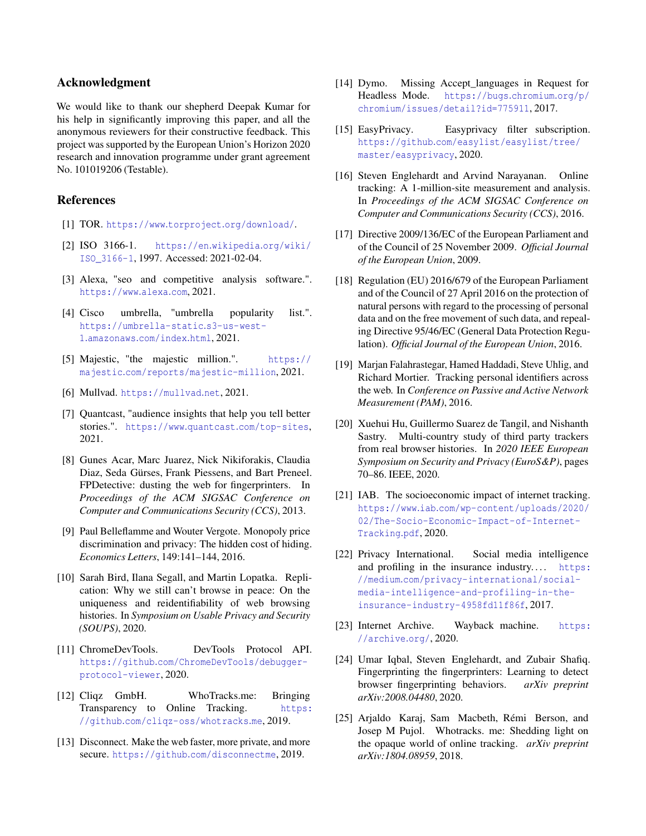### Acknowledgment

We would like to thank our shepherd Deepak Kumar for his help in significantly improving this paper, and all the anonymous reviewers for their constructive feedback. This project was supported by the European Union's Horizon 2020 research and innovation programme under grant agreement No. 101019206 (Testable).

### References

- <span id="page-14-24"></span>[1] TOR. https://www.torproject.[org/download/](https://www.torproject.org/download/).
- <span id="page-14-19"></span>[2] ISO 3166-1. [https://en](https://en.wikipedia.org/wiki/ISO_3166-1).wikipedia.org/wiki/ [ISO\\_3166-1](https://en.wikipedia.org/wiki/ISO_3166-1), 1997. Accessed: 2021-02-04.
- <span id="page-14-4"></span>[3] Alexa, "seo and competitive analysis software.". [https://www](https://www.alexa.com).alexa.com, 2021.
- <span id="page-14-5"></span>[4] Cisco umbrella, "umbrella popularity list.". [https://umbrella-static](https://umbrella-static.s3-us-west-1.amazonaws.com/index.html).s3-us-west-1.[amazonaws](https://umbrella-static.s3-us-west-1.amazonaws.com/index.html).com/index.html, 2021.
- <span id="page-14-20"></span>[5] Majestic, "the majestic million.". [https://](https://majestic.com/reports/majestic-million) majestic.[com/reports/majestic-million](https://majestic.com/reports/majestic-million), 2021.
- <span id="page-14-16"></span>[6] Mullvad. [https://mullvad](https://mullvad.net).net, 2021.
- <span id="page-14-21"></span>[7] Quantcast, "audience insights that help you tell better stories.". https://www.quantcast.[com/top-sites](https://www.quantcast.com/top-sites), 2021.
- <span id="page-14-2"></span>[8] Gunes Acar, Marc Juarez, Nick Nikiforakis, Claudia Diaz, Seda Gürses, Frank Piessens, and Bart Preneel. FPDetective: dusting the web for fingerprinters. In *Proceedings of the ACM SIGSAC Conference on Computer and Communications Security (CCS)*, 2013.
- <span id="page-14-22"></span>[9] Paul Belleflamme and Wouter Vergote. Monopoly price discrimination and privacy: The hidden cost of hiding. *Economics Letters*, 149:141–144, 2016.
- <span id="page-14-7"></span>[10] Sarah Bird, Ilana Segall, and Martin Lopatka. Replication: Why we still can't browse in peace: On the uniqueness and reidentifiability of web browsing histories. In *Symposium on Usable Privacy and Security (SOUPS)*, 2020.
- <span id="page-14-11"></span>[11] ChromeDevTools. DevTools Protocol API. https://github.[com/ChromeDevTools/debugger](https://github.com/ChromeDevTools/debugger-protocol-viewer)[protocol-viewer](https://github.com/ChromeDevTools/debugger-protocol-viewer), 2020.
- <span id="page-14-15"></span>[12] Cliqz GmbH. WhoTracks.me: Bringing Transparency to Online Tracking. [https:](https://github.com/cliqz-oss/whotracks.me) //github.[com/cliqz-oss/whotracks](https://github.com/cliqz-oss/whotracks.me).me, 2019.
- <span id="page-14-14"></span>[13] Disconnect. Make the web faster, more private, and more secure. https://github.[com/disconnectme](https://github.com/disconnectme), 2019.
- <span id="page-14-12"></span>[14] Dymo. Missing Accept\_languages in Request for Headless Mode. [https://bugs](https://bugs.chromium.org/p/chromium/issues/detail?id=775911).chromium.org/p/ [chromium/issues/detail?id=775911](https://bugs.chromium.org/p/chromium/issues/detail?id=775911), 2017.
- <span id="page-14-13"></span>[15] EasyPrivacy. Easyprivacy filter subscription. https://github.[com/easylist/easylist/tree/](https://github.com/easylist/easylist/tree/master/easyprivacy) [master/easyprivacy](https://github.com/easylist/easylist/tree/master/easyprivacy), 2020.
- <span id="page-14-0"></span>[16] Steven Englehardt and Arvind Narayanan. Online tracking: A 1-million-site measurement and analysis. In *Proceedings of the ACM SIGSAC Conference on Computer and Communications Security (CCS)*, 2016.
- <span id="page-14-17"></span>[17] Directive 2009/136/EC of the European Parliament and of the Council of 25 November 2009. *Official Journal of the European Union*, 2009.
- <span id="page-14-18"></span>[18] Regulation (EU) 2016/679 of the European Parliament and of the Council of 27 April 2016 on the protection of natural persons with regard to the processing of personal data and on the free movement of such data, and repealing Directive 95/46/EC (General Data Protection Regulation). *Official Journal of the European Union*, 2016.
- <span id="page-14-8"></span>[19] Marjan Falahrastegar, Hamed Haddadi, Steve Uhlig, and Richard Mortier. Tracking personal identifiers across the web. In *Conference on Passive and Active Network Measurement (PAM)*, 2016.
- <span id="page-14-10"></span>[20] Xuehui Hu, Guillermo Suarez de Tangil, and Nishanth Sastry. Multi-country study of third party trackers from real browser histories. In *2020 IEEE European Symposium on Security and Privacy (EuroS&P)*, pages 70–86. IEEE, 2020.
- <span id="page-14-1"></span>[21] IAB. The socioeconomic impact of internet tracking. https://www.iab.[com/wp-content/uploads/2020/](https://www.iab.com/wp-content/uploads/2020/02/The-Socio- Economic-Impact-of-Internet-Tracking.pdf) [02/The-Socio-Economic-Impact-of-Internet-](https://www.iab.com/wp-content/uploads/2020/02/The-Socio- Economic-Impact-of-Internet-Tracking.pdf)[Tracking](https://www.iab.com/wp-content/uploads/2020/02/The-Socio- Economic-Impact-of-Internet-Tracking.pdf).pdf, 2020.
- <span id="page-14-23"></span>[22] Privacy International. Social media intelligence and profiling in the insurance industry.... [https:](https://medium.com/privacy-international/social-media-intelligence-and-profiling-in-the-insurance-industry-4958fd11f86f) //medium.[com/privacy-international/social](https://medium.com/privacy-international/social-media-intelligence-and-profiling-in-the-insurance-industry-4958fd11f86f)[media-intelligence-and-profiling-in-the](https://medium.com/privacy-international/social-media-intelligence-and-profiling-in-the-insurance-industry-4958fd11f86f)[insurance-industry-4958fd11f86f](https://medium.com/privacy-international/social-media-intelligence-and-profiling-in-the-insurance-industry-4958fd11f86f), 2017.
- <span id="page-14-6"></span>[23] Internet Archive. Wayback machine. [https:](https://archive.org/) [//archive](https://archive.org/).org/, 2020.
- <span id="page-14-3"></span>[24] Umar Iqbal, Steven Englehardt, and Zubair Shafiq. Fingerprinting the fingerprinters: Learning to detect browser fingerprinting behaviors. *arXiv preprint arXiv:2008.04480*, 2020.
- <span id="page-14-9"></span>[25] Arjaldo Karaj, Sam Macbeth, Rémi Berson, and Josep M Pujol. Whotracks. me: Shedding light on the opaque world of online tracking. *arXiv preprint arXiv:1804.08959*, 2018.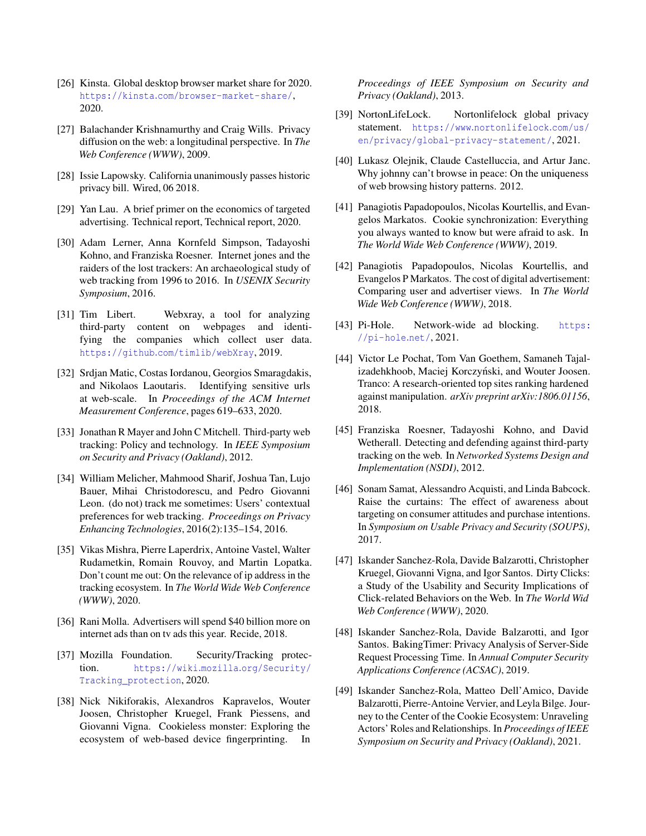- <span id="page-15-5"></span>[26] Kinsta. Global desktop browser market share for 2020. https://kinsta.[com/browser-market-share/](https://kinsta.com/browser-market-share/), 2020.
- <span id="page-15-7"></span>[27] Balachander Krishnamurthy and Craig Wills. Privacy diffusion on the web: a longitudinal perspective. In *The Web Conference (WWW)*, 2009.
- <span id="page-15-19"></span>[28] Issie Lapowsky. California unanimously passes historic privacy bill. Wired, 06 2018.
- <span id="page-15-1"></span>[29] Yan Lau. A brief primer on the economics of targeted advertising. Technical report, Technical report, 2020.
- <span id="page-15-0"></span>[30] Adam Lerner, Anna Kornfeld Simpson, Tadayoshi Kohno, and Franziska Roesner. Internet jones and the raiders of the lost trackers: An archaeological study of web tracking from 1996 to 2016. In *USENIX Security Symposium*, 2016.
- <span id="page-15-18"></span>[31] Tim Libert. Webxray, a tool for analyzing third-party content on webpages and identifying the companies which collect user data. https://github.[com/timlib/webXray](https://github.com/timlib/webXray), 2019.
- <span id="page-15-20"></span>[32] Srdjan Matic, Costas Iordanou, Georgios Smaragdakis, and Nikolaos Laoutaris. Identifying sensitive urls at web-scale. In *Proceedings of the ACM Internet Measurement Conference*, pages 619–633, 2020.
- <span id="page-15-8"></span>[33] Jonathan R Mayer and John C Mitchell. Third-party web tracking: Policy and technology. In *IEEE Symposium on Security and Privacy (Oakland)*, 2012.
- <span id="page-15-4"></span>[34] William Melicher, Mahmood Sharif, Joshua Tan, Lujo Bauer, Mihai Christodorescu, and Pedro Giovanni Leon. (do not) track me sometimes: Users' contextual preferences for web tracking. *Proceedings on Privacy Enhancing Technologies*, 2016(2):135–154, 2016.
- <span id="page-15-13"></span>[35] Vikas Mishra, Pierre Laperdrix, Antoine Vastel, Walter Rudametkin, Romain Rouvoy, and Martin Lopatka. Don't count me out: On the relevance of ip address in the tracking ecosystem. In *The World Wide Web Conference (WWW)*, 2020.
- <span id="page-15-2"></span>[36] Rani Molla. Advertisers will spend \$40 billion more on internet ads than on tv ads this year. Recide, 2018.
- <span id="page-15-17"></span>[37] Mozilla Foundation. Security/Tracking protection. https://wiki.mozilla.[org/Security/](https://wiki.mozilla.org/Security/Tracking_protection) [Tracking\\_protection](https://wiki.mozilla.org/Security/Tracking_protection), 2020.
- <span id="page-15-6"></span>[38] Nick Nikiforakis, Alexandros Kapravelos, Wouter Joosen, Christopher Kruegel, Frank Piessens, and Giovanni Vigna. Cookieless monster: Exploring the ecosystem of web-based device fingerprinting. In

*Proceedings of IEEE Symposium on Security and Privacy (Oakland)*, 2013.

- <span id="page-15-15"></span>[39] NortonLifeLock. Nortonlifelock global privacy statement. https://www.[nortonlifelock](https://www.nortonlifelock.com/us/en/privacy/global-privacy-statement/).com/us/ [en/privacy/global-privacy-statement/](https://www.nortonlifelock.com/us/en/privacy/global-privacy-statement/), 2021.
- <span id="page-15-10"></span>[40] Lukasz Olejnik, Claude Castelluccia, and Artur Janc. Why johnny can't browse in peace: On the uniqueness of web browsing history patterns. 2012.
- <span id="page-15-12"></span>[41] Panagiotis Papadopoulos, Nicolas Kourtellis, and Evangelos Markatos. Cookie synchronization: Everything you always wanted to know but were afraid to ask. In *The World Wide Web Conference (WWW)*, 2019.
- <span id="page-15-11"></span>[42] Panagiotis Papadopoulos, Nicolas Kourtellis, and Evangelos P Markatos. The cost of digital advertisement: Comparing user and advertiser views. In *The World Wide Web Conference (WWW)*, 2018.
- <span id="page-15-23"></span>[43] Pi-Hole. Network-wide ad blocking. [https:](https://pi-hole.net/) [//pi-hole](https://pi-hole.net/).net/, 2021.
- <span id="page-15-22"></span>[44] Victor Le Pochat, Tom Van Goethem, Samaneh Tajalizadehkhoob, Maciej Korczyński, and Wouter Joosen. Tranco: A research-oriented top sites ranking hardened against manipulation. *arXiv preprint arXiv:1806.01156*, 2018.
- <span id="page-15-9"></span>[45] Franziska Roesner, Tadayoshi Kohno, and David Wetherall. Detecting and defending against third-party tracking on the web. In *Networked Systems Design and Implementation (NSDI)*, 2012.
- <span id="page-15-3"></span>[46] Sonam Samat, Alessandro Acquisti, and Linda Babcock. Raise the curtains: The effect of awareness about targeting on consumer attitudes and purchase intentions. In *Symposium on Usable Privacy and Security (SOUPS)*, 2017.
- <span id="page-15-16"></span>[47] Iskander Sanchez-Rola, Davide Balzarotti, Christopher Kruegel, Giovanni Vigna, and Igor Santos. Dirty Clicks: a Study of the Usability and Security Implications of Click-related Behaviors on the Web. In *The World Wid Web Conference (WWW)*, 2020.
- <span id="page-15-21"></span>[48] Iskander Sanchez-Rola, Davide Balzarotti, and Igor Santos. BakingTimer: Privacy Analysis of Server-Side Request Processing Time. In *Annual Computer Security Applications Conference (ACSAC)*, 2019.
- <span id="page-15-14"></span>[49] Iskander Sanchez-Rola, Matteo Dell'Amico, Davide Balzarotti, Pierre-Antoine Vervier, and Leyla Bilge. Journey to the Center of the Cookie Ecosystem: Unraveling Actors' Roles and Relationships. In *Proceedings of IEEE Symposium on Security and Privacy (Oakland)*, 2021.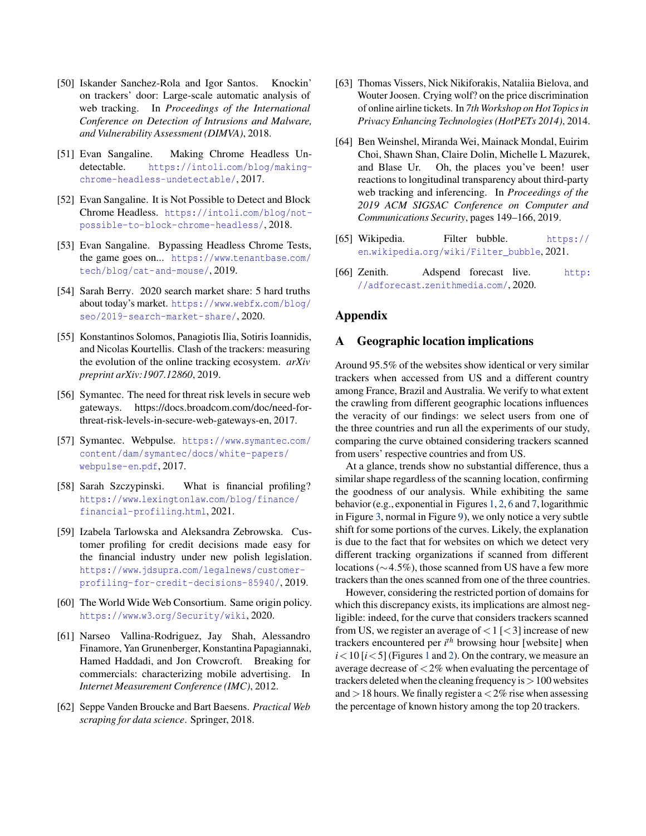- <span id="page-16-0"></span>[50] Iskander Sanchez-Rola and Igor Santos. Knockin' on trackers' door: Large-scale automatic analysis of web tracking. In *Proceedings of the International Conference on Detection of Intrusions and Malware, and Vulnerability Assessment (DIMVA)*, 2018.
- <span id="page-16-6"></span>[51] Evan Sangaline. Making Chrome Headless Undetectable. https://intoli.[com/blog/making](https://intoli.com/blog/making-chrome-headless-undetectable/)[chrome-headless-undetectable/](https://intoli.com/blog/making-chrome-headless-undetectable/), 2017.
- [52] Evan Sangaline. It is Not Possible to Detect and Block Chrome Headless. [https://intoli](https://intoli.com/blog/not-possible-to-block-chrome-headless/).com/blog/not[possible-to-block-chrome-headless/](https://intoli.com/blog/not-possible-to-block-chrome-headless/), 2018.
- <span id="page-16-7"></span>[53] Evan Sangaline. Bypassing Headless Chrome Tests, the game goes on... [https://www](https://www.tenantbase.com/tech/blog/cat-and-mouse/).tenantbase.com/ [tech/blog/cat-and-mouse/](https://www.tenantbase.com/tech/blog/cat-and-mouse/), 2019.
- <span id="page-16-3"></span>[54] Sarah Berry. 2020 search market share: 5 hard truths about today's market. [https://www](https://www.webfx.com/blog/seo/2019-search-market-share/).webfx.com/blog/ [seo/2019-search-market-share/](https://www.webfx.com/blog/seo/2019-search-market-share/), 2020.
- <span id="page-16-4"></span>[55] Konstantinos Solomos, Panagiotis Ilia, Sotiris Ioannidis, and Nicolas Kourtellis. Clash of the trackers: measuring the evolution of the online tracking ecosystem. *arXiv preprint arXiv:1907.12860*, 2019.
- <span id="page-16-16"></span>[56] Symantec. The need for threat risk levels in secure web gateways. https://docs.broadcom.com/doc/need-forthreat-risk-levels-in-secure-web-gateways-en, 2017.
- <span id="page-16-15"></span>[57] Symantec. Webpulse. [https://www](https://www.symantec.com/content/dam/symantec/docs/white-papers/webpulse-en.pdf).symantec.com/ [content/dam/symantec/docs/white-papers/](https://www.symantec.com/content/dam/symantec/docs/white-papers/webpulse-en.pdf) [webpulse-en](https://www.symantec.com/content/dam/symantec/docs/white-papers/webpulse-en.pdf).pdf, 2017.
- <span id="page-16-13"></span>[58] Sarah Szczypinski. What is financial profiling? https://www.lexingtonlaw.[com/blog/finance/](https://www.lexingtonlaw.com/blog/finance/financial-profiling.html) [financial-profiling](https://www.lexingtonlaw.com/blog/finance/financial-profiling.html).html, 2021.
- <span id="page-16-14"></span>[59] Izabela Tarlowska and Aleksandra Zebrowska. Customer profiling for credit decisions made easy for the financial industry under new polish legislation. https://www.jdsupra.[com/legalnews/customer](https://www.jdsupra.com/legalnews/customer-profiling-for-credit-decisions-85940/)[profiling-for-credit-decisions-85940/](https://www.jdsupra.com/legalnews/customer-profiling-for-credit-decisions-85940/), 2019.
- <span id="page-16-10"></span>[60] The World Wide Web Consortium. Same origin policy. https://www.w3.[org/Security/wiki](https://www.w3.org/Security/wiki), 2020.
- <span id="page-16-5"></span>[61] Narseo Vallina-Rodriguez, Jay Shah, Alessandro Finamore, Yan Grunenberger, Konstantina Papagiannaki, Hamed Haddadi, and Jon Crowcroft. Breaking for commercials: characterizing mobile advertising. In *Internet Measurement Conference (IMC)*, 2012.
- <span id="page-16-8"></span>[62] Seppe Vanden Broucke and Bart Baesens. *Practical Web scraping for data science*. Springer, 2018.
- <span id="page-16-12"></span>[63] Thomas Vissers, Nick Nikiforakis, Nataliia Bielova, and Wouter Joosen. Crying wolf? on the price discrimination of online airline tickets. In *7th Workshop on Hot Topics in Privacy Enhancing Technologies (HotPETs 2014)*, 2014.
- <span id="page-16-2"></span>[64] Ben Weinshel, Miranda Wei, Mainack Mondal, Euirim Choi, Shawn Shan, Claire Dolin, Michelle L Mazurek, and Blase Ur. Oh, the places you've been! user reactions to longitudinal transparency about third-party web tracking and inferencing. In *Proceedings of the 2019 ACM SIGSAC Conference on Computer and Communications Security*, pages 149–166, 2019.
- <span id="page-16-11"></span>[65] Wikipedia. Filter bubble. [https://](https://en.wikipedia.org/wiki/Filter_bubble) en.wikipedia.[org/wiki/Filter\\_bubble](https://en.wikipedia.org/wiki/Filter_bubble), 2021.
- <span id="page-16-1"></span>[66] Zenith. Adspend forecast live. [http:](http://adforecast.zenithmedia.com/) [//adforecast](http://adforecast.zenithmedia.com/).zenithmedia.com/, 2020.

### Appendix

#### <span id="page-16-9"></span>A Geographic location implications

Around 95.5% of the websites show identical or very similar trackers when accessed from US and a different country among France, Brazil and Australia. We verify to what extent the crawling from different geographic locations influences the veracity of our findings: we select users from one of the three countries and run all the experiments of our study, comparing the curve obtained considering trackers scanned from users' respective countries and from US.

At a glance, trends show no substantial difference, thus a similar shape regardless of the scanning location, confirming the goodness of our analysis. While exhibiting the same behavior (e.g., exponential in Figures [1,](#page-4-1) [2,](#page-5-0) [6](#page-7-1) and [7,](#page-7-2) logarithmic in Figure [3,](#page-5-1) normal in Figure [9\)](#page-9-1), we only notice a very subtle shift for some portions of the curves. Likely, the explanation is due to the fact that for websites on which we detect very different tracking organizations if scanned from different locations (∼4.5%), those scanned from US have a few more trackers than the ones scanned from one of the three countries.

However, considering the restricted portion of domains for which this discrepancy exists, its implications are almost negligible: indeed, for the curve that considers trackers scanned from US, we register an average of  $< 1$  [ $< 3$ ] increase of new trackers encountered per *i*<sup>th</sup> browsing hour [website] when  $i$  < [1](#page-4-1)0 [ $i$  < 5] (Figures 1 and [2\)](#page-5-0). On the contrary, we measure an average decrease of  $\langle 2\%$  when evaluating the percentage of trackers deleted when the cleaning frequency is  $>100$  websites and  $>18$  hours. We finally register a  $<2\%$  rise when assessing the percentage of known history among the top 20 trackers.